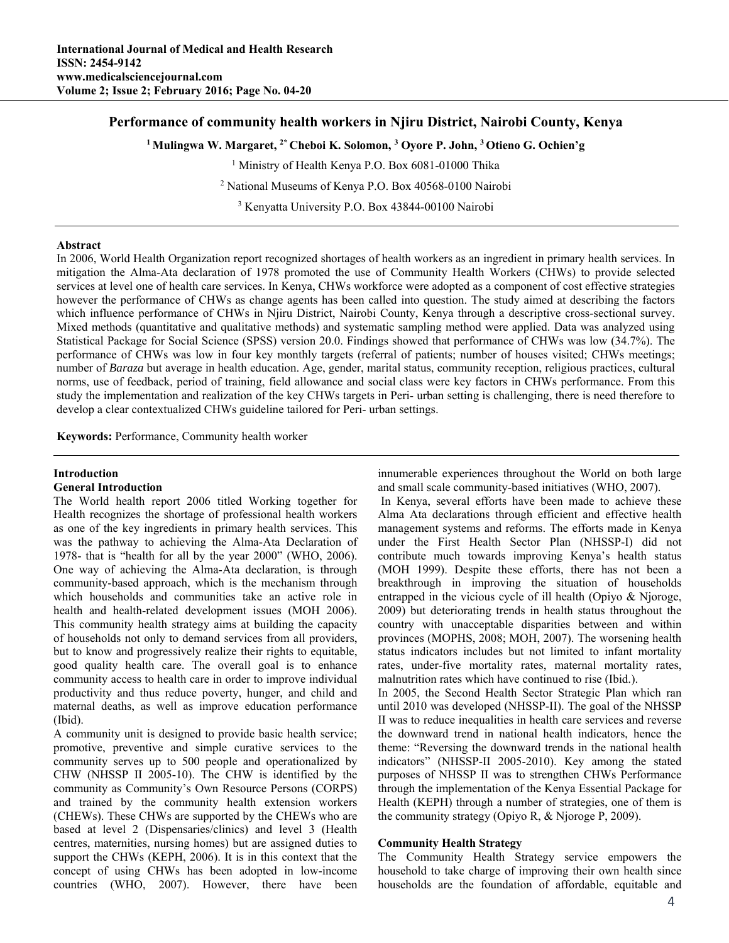# **Performance of community health workers in Njiru District, Nairobi County, Kenya**

<sup>1</sup> Mulingwa W. Margaret, <sup>2\*</sup> Cheboi K. Solomon, <sup>3</sup> Oyore P. John, <sup>3</sup> Otieno G. Ochien'g

<sup>1</sup> Ministry of Health Kenya P.O. Box 6081-01000 Thika

2 National Museums of Kenya P.O. Box 40568-0100 Nairobi

3 Kenyatta University P.O. Box 43844-00100 Nairobi

#### **Abstract**

In 2006, World Health Organization report recognized shortages of health workers as an ingredient in primary health services. In mitigation the Alma-Ata declaration of 1978 promoted the use of Community Health Workers (CHWs) to provide selected services at level one of health care services. In Kenya, CHWs workforce were adopted as a component of cost effective strategies however the performance of CHWs as change agents has been called into question. The study aimed at describing the factors which influence performance of CHWs in Njiru District, Nairobi County, Kenya through a descriptive cross-sectional survey. Mixed methods (quantitative and qualitative methods) and systematic sampling method were applied. Data was analyzed using Statistical Package for Social Science (SPSS) version 20.0. Findings showed that performance of CHWs was low (34.7%). The performance of CHWs was low in four key monthly targets (referral of patients; number of houses visited; CHWs meetings; number of *Baraza* but average in health education. Age, gender, marital status, community reception, religious practices, cultural norms, use of feedback, period of training, field allowance and social class were key factors in CHWs performance. From this study the implementation and realization of the key CHWs targets in Peri- urban setting is challenging, there is need therefore to develop a clear contextualized CHWs guideline tailored for Peri- urban settings.

**Keywords:** Performance, Community health worker

### **Introduction**

#### **General Introduction**

The World health report 2006 titled Working together for Health recognizes the shortage of professional health workers as one of the key ingredients in primary health services. This was the pathway to achieving the Alma-Ata Declaration of 1978- that is "health for all by the year 2000" (WHO, 2006). One way of achieving the Alma-Ata declaration, is through community-based approach, which is the mechanism through which households and communities take an active role in health and health-related development issues (MOH 2006). This community health strategy aims at building the capacity of households not only to demand services from all providers, but to know and progressively realize their rights to equitable, good quality health care. The overall goal is to enhance community access to health care in order to improve individual productivity and thus reduce poverty, hunger, and child and maternal deaths, as well as improve education performance (Ibid).

A community unit is designed to provide basic health service; promotive, preventive and simple curative services to the community serves up to 500 people and operationalized by CHW (NHSSP II 2005-10). The CHW is identified by the community as Community's Own Resource Persons (CORPS) and trained by the community health extension workers (CHEWs). These CHWs are supported by the CHEWs who are based at level 2 (Dispensaries/clinics) and level 3 (Health centres, maternities, nursing homes) but are assigned duties to support the CHWs (KEPH, 2006). It is in this context that the concept of using CHWs has been adopted in low-income countries (WHO, 2007). However, there have been innumerable experiences throughout the World on both large and small scale community-based initiatives (WHO, 2007).

 In Kenya, several efforts have been made to achieve these Alma Ata declarations through efficient and effective health management systems and reforms. The efforts made in Kenya under the First Health Sector Plan (NHSSP-I) did not contribute much towards improving Kenya's health status (MOH 1999). Despite these efforts, there has not been a breakthrough in improving the situation of households entrapped in the vicious cycle of ill health (Opiyo & Njoroge, 2009) but deteriorating trends in health status throughout the country with unacceptable disparities between and within provinces (MOPHS, 2008; MOH, 2007). The worsening health status indicators includes but not limited to infant mortality rates, under-five mortality rates, maternal mortality rates, malnutrition rates which have continued to rise (Ibid.).

In 2005, the Second Health Sector Strategic Plan which ran until 2010 was developed (NHSSP-II). The goal of the NHSSP II was to reduce inequalities in health care services and reverse the downward trend in national health indicators, hence the theme: "Reversing the downward trends in the national health indicators" (NHSSP-II 2005-2010). Key among the stated purposes of NHSSP II was to strengthen CHWs Performance through the implementation of the Kenya Essential Package for Health (KEPH) through a number of strategies, one of them is the community strategy (Opiyo R, & Njoroge P, 2009).

## **Community Health Strategy**

The Community Health Strategy service empowers the household to take charge of improving their own health since households are the foundation of affordable, equitable and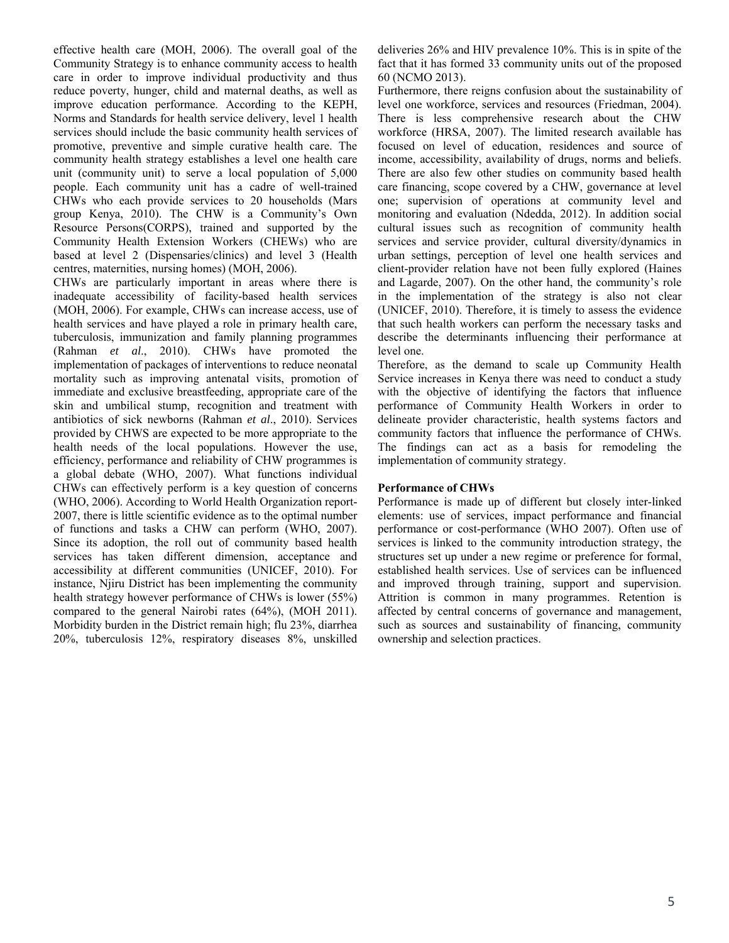effective health care (MOH, 2006). The overall goal of the Community Strategy is to enhance community access to health care in order to improve individual productivity and thus reduce poverty, hunger, child and maternal deaths, as well as improve education performance. According to the KEPH, Norms and Standards for health service delivery, level 1 health services should include the basic community health services of promotive, preventive and simple curative health care. The community health strategy establishes a level one health care unit (community unit) to serve a local population of 5,000 people. Each community unit has a cadre of well-trained CHWs who each provide services to 20 households (Mars group Kenya, 2010). The CHW is a Community's Own Resource Persons(CORPS), trained and supported by the Community Health Extension Workers (CHEWs) who are based at level 2 (Dispensaries/clinics) and level 3 (Health centres, maternities, nursing homes) (MOH, 2006).

CHWs are particularly important in areas where there is inadequate accessibility of facility-based health services (MOH, 2006). For example, CHWs can increase access, use of health services and have played a role in primary health care. tuberculosis, immunization and family planning programmes (Rahman *et al*., 2010). CHWs have promoted the implementation of packages of interventions to reduce neonatal mortality such as improving antenatal visits, promotion of immediate and exclusive breastfeeding, appropriate care of the skin and umbilical stump, recognition and treatment with antibiotics of sick newborns (Rahman *et al*., 2010). Services provided by CHWS are expected to be more appropriate to the health needs of the local populations. However the use, efficiency, performance and reliability of CHW programmes is a global debate (WHO, 2007). What functions individual CHWs can effectively perform is a key question of concerns (WHO, 2006). According to World Health Organization report-2007, there is little scientific evidence as to the optimal number of functions and tasks a CHW can perform (WHO, 2007). Since its adoption, the roll out of community based health services has taken different dimension, acceptance and accessibility at different communities (UNICEF, 2010). For instance, Njiru District has been implementing the community health strategy however performance of CHWs is lower (55%) compared to the general Nairobi rates (64%), (MOH 2011). Morbidity burden in the District remain high; flu 23%, diarrhea 20%, tuberculosis 12%, respiratory diseases 8%, unskilled deliveries 26% and HIV prevalence 10%. This is in spite of the fact that it has formed 33 community units out of the proposed 60 (NCMO 2013).

Furthermore, there reigns confusion about the sustainability of level one workforce, services and resources (Friedman, 2004). There is less comprehensive research about the CHW workforce (HRSA, 2007). The limited research available has focused on level of education, residences and source of income, accessibility, availability of drugs, norms and beliefs. There are also few other studies on community based health care financing, scope covered by a CHW, governance at level one; supervision of operations at community level and monitoring and evaluation (Ndedda, 2012). In addition social cultural issues such as recognition of community health services and service provider, cultural diversity/dynamics in urban settings, perception of level one health services and client-provider relation have not been fully explored (Haines and Lagarde, 2007). On the other hand, the community's role in the implementation of the strategy is also not clear (UNICEF, 2010). Therefore, it is timely to assess the evidence that such health workers can perform the necessary tasks and describe the determinants influencing their performance at level one.

Therefore, as the demand to scale up Community Health Service increases in Kenya there was need to conduct a study with the objective of identifying the factors that influence performance of Community Health Workers in order to delineate provider characteristic, health systems factors and community factors that influence the performance of CHWs. The findings can act as a basis for remodeling the implementation of community strategy.

## **Performance of CHWs**

Performance is made up of different but closely inter-linked elements: use of services, impact performance and financial performance or cost-performance (WHO 2007). Often use of services is linked to the community introduction strategy, the structures set up under a new regime or preference for formal, established health services. Use of services can be influenced and improved through training, support and supervision. Attrition is common in many programmes. Retention is affected by central concerns of governance and management, such as sources and sustainability of financing, community ownership and selection practices.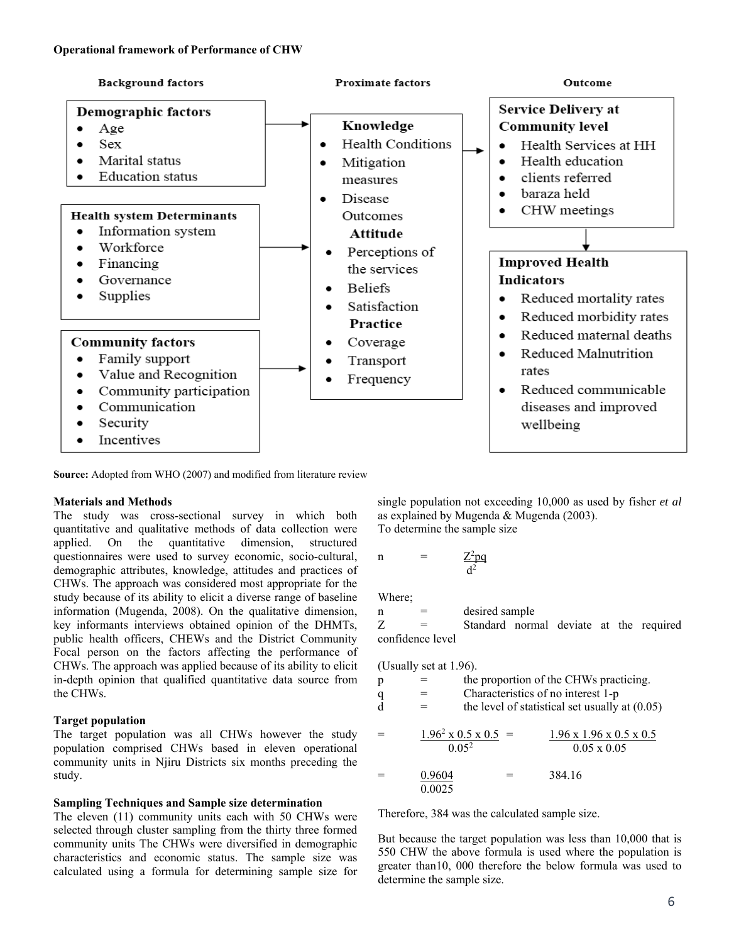### **Operational framework of Performance of CHW**



**Source:** Adopted from WHO (2007) and modified from literature review

## **Materials and Methods**

The study was cross-sectional survey in which both quantitative and qualitative methods of data collection were applied. On the quantitative dimension, structured questionnaires were used to survey economic, socio-cultural, demographic attributes, knowledge, attitudes and practices of CHWs. The approach was considered most appropriate for the study because of its ability to elicit a diverse range of baseline information (Mugenda, 2008). On the qualitative dimension, key informants interviews obtained opinion of the DHMTs, public health officers, CHEWs and the District Community Focal person on the factors affecting the performance of CHWs. The approach was applied because of its ability to elicit in-depth opinion that qualified quantitative data source from the CHWs.

## **Target population**

The target population was all CHWs however the study population comprised CHWs based in eleven operational community units in Njiru Districts six months preceding the study.

## **Sampling Techniques and Sample size determination**

The eleven (11) community units each with 50 CHWs were selected through cluster sampling from the thirty three formed community units The CHWs were diversified in demographic characteristics and economic status. The sample size was calculated using a formula for determining sample size for

single population not exceeding 10,000 as used by fisher *et al* as explained by Mugenda & Mugenda (2003). To determine the sample size

n =  $Z^2pq$  $d^2$ 

Where;

 $n =$  desired sample

Z = Standard normal deviate at the required confidence level

(Usually set at 1.96).

| p<br>$\mathbf q$<br>d | $=$                                                   |  | the proportion of the CHWs practicing.<br>Characteristics of no interest 1-p | the level of statistical set usually at $(0.05)$ |
|-----------------------|-------------------------------------------------------|--|------------------------------------------------------------------------------|--------------------------------------------------|
|                       | $1.96^2 \times 0.5 \times 0.5$ =<br>0.05 <sup>2</sup> |  | $0.05 \times 0.05$                                                           | $1.96 \times 1.96 \times 0.5 \times 0.5$         |
|                       | 0.9604<br>0.0025                                      |  | 384.16                                                                       |                                                  |

Therefore, 384 was the calculated sample size.

But because the target population was less than 10,000 that is 550 CHW the above formula is used where the population is greater than10, 000 therefore the below formula was used to determine the sample size.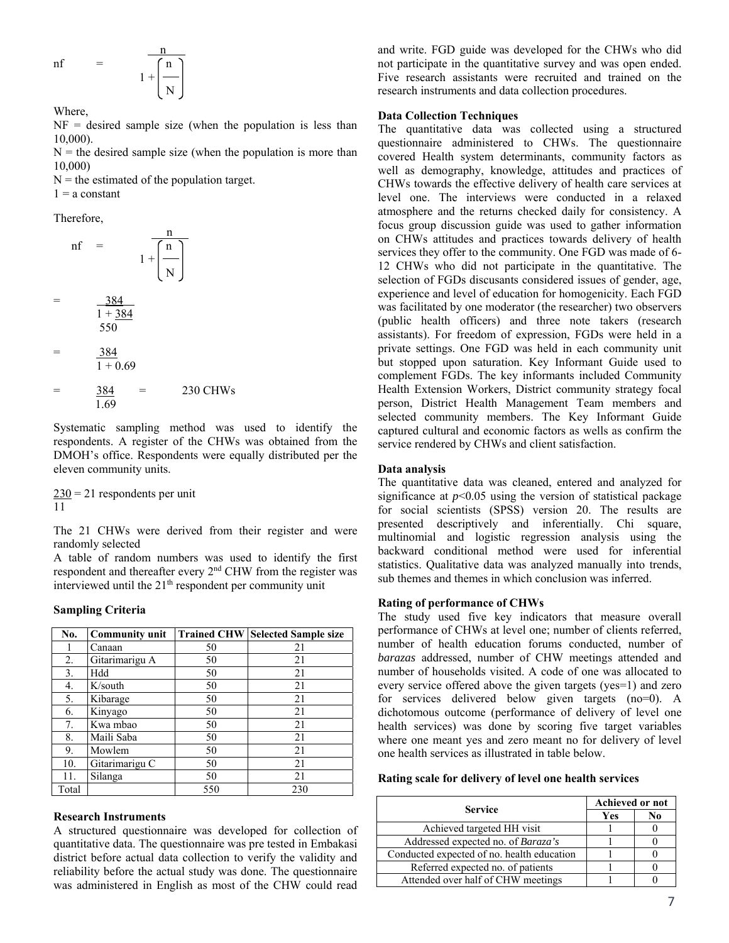$$
nf = \frac{\frac{n}{\sqrt{n}}}{1 + \left(\frac{n}{N}\right)}
$$

Where,

 $NF =$  desired sample size (when the population is less than 10,000).

 $N =$  the desired sample size (when the population is more than 10,000)

 $N =$  the estimated of the population target.  $1 = a constant$ 

Therefore,

n and the state of the state of the state of the state of the state of the state of the state of the state of the state of the state of the state of the state of the state of the state of the state of the state of the stat  $nf = \int n$  $1 +$  N  $=$  384  $1 + 384$  550 = 384  $1 + 0.69$  $=$  384 = 230 CHWs

$$
\frac{1.69}{1.69}
$$
  
Systematic sampling method was used

to identify the respondents. A register of the CHWs was obtained from the DMOH's office. Respondents were equally distributed per the eleven community units.

 $230 = 21$  respondents per unit 11

The 21 CHWs were derived from their register and were randomly selected

A table of random numbers was used to identify the first respondent and thereafter every  $2<sup>nd</sup>$  CHW from the register was interviewed until the  $21<sup>th</sup>$  respondent per community unit

### **Sampling Criteria**

| No.   | <b>Community unit</b> | <b>Trained CHW</b> | <b>Selected Sample size</b> |
|-------|-----------------------|--------------------|-----------------------------|
|       | Canaan                | 50                 | 21                          |
| 2.    | Gitarimarigu A        | 50                 | 21                          |
| 3.    | Hdd                   | 50                 | 21                          |
| 4.    | K/south               | 50                 | 21                          |
| 5.    | Kibarage              | 50                 | 21                          |
| 6.    | Kinyago               | 50                 | 21                          |
| 7.    | Kwa mbao              | 50                 | 21                          |
| 8.    | Maili Saba            | 50                 | 21                          |
| 9.    | Mowlem                | 50                 | 21                          |
| 10.   | Gitarimarigu C        | 50                 | 21                          |
| 11.   | Silanga               | 50                 | 21                          |
| Total |                       | 550                | 230                         |

#### **Research Instruments**

A structured questionnaire was developed for collection of quantitative data. The questionnaire was pre tested in Embakasi district before actual data collection to verify the validity and reliability before the actual study was done. The questionnaire was administered in English as most of the CHW could read and write. FGD guide was developed for the CHWs who did not participate in the quantitative survey and was open ended. Five research assistants were recruited and trained on the research instruments and data collection procedures.

#### **Data Collection Techniques**

The quantitative data was collected using a structured questionnaire administered to CHWs. The questionnaire covered Health system determinants, community factors as well as demography, knowledge, attitudes and practices of CHWs towards the effective delivery of health care services at level one. The interviews were conducted in a relaxed atmosphere and the returns checked daily for consistency. A focus group discussion guide was used to gather information on CHWs attitudes and practices towards delivery of health services they offer to the community. One FGD was made of 6- 12 CHWs who did not participate in the quantitative. The selection of FGDs discusants considered issues of gender, age, experience and level of education for homogenicity. Each FGD was facilitated by one moderator (the researcher) two observers (public health officers) and three note takers (research assistants). For freedom of expression, FGDs were held in a private settings. One FGD was held in each community unit but stopped upon saturation. Key Informant Guide used to complement FGDs. The key informants included Community Health Extension Workers, District community strategy focal person, District Health Management Team members and selected community members. The Key Informant Guide captured cultural and economic factors as wells as confirm the service rendered by CHWs and client satisfaction.

#### **Data analysis**

The quantitative data was cleaned, entered and analyzed for significance at  $p<0.05$  using the version of statistical package for social scientists (SPSS) version 20. The results are presented descriptively and inferentially. Chi square, multinomial and logistic regression analysis using the backward conditional method were used for inferential statistics. Qualitative data was analyzed manually into trends, sub themes and themes in which conclusion was inferred.

#### **Rating of performance of CHWs**

The study used five key indicators that measure overall performance of CHWs at level one; number of clients referred, number of health education forums conducted, number of *barazas* addressed, number of CHW meetings attended and number of households visited. A code of one was allocated to every service offered above the given targets (yes=1) and zero for services delivered below given targets (no=0). A dichotomous outcome (performance of delivery of level one health services) was done by scoring five target variables where one meant yes and zero meant no for delivery of level one health services as illustrated in table below.

#### **Rating scale for delivery of level one health services**

| <b>Service</b>                             | <b>Achieved or not</b> |    |  |
|--------------------------------------------|------------------------|----|--|
|                                            | Yes                    | No |  |
| Achieved targeted HH visit                 |                        |    |  |
| Addressed expected no. of Baraza's         |                        |    |  |
| Conducted expected of no. health education |                        |    |  |
| Referred expected no. of patients          |                        |    |  |
| Attended over half of CHW meetings         |                        |    |  |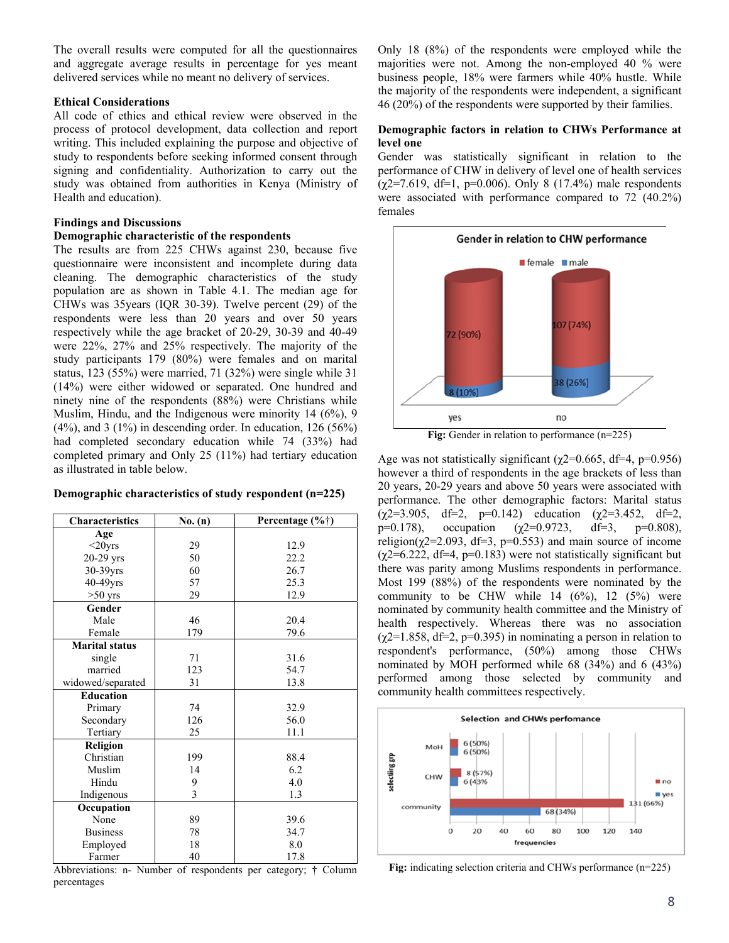The overall results were computed for all the questionnaires and aggregate average results in percentage for yes meant delivered services while no meant no delivery of services.

#### **Ethical Considerations**

All code of ethics and ethical review were observed in the process of protocol development, data collection and report writing. This included explaining the purpose and objective of study to respondents before seeking informed consent through signing and confidentiality. Authorization to carry out the study was obtained from authorities in Kenya (Ministry of Health and education).

### **Findings and Discussions**

## **Demographic characteristic of the respondents**

The results are from 225 CHWs against 230, because five questionnaire were inconsistent and incomplete during data cleaning. The demographic characteristics of the study population are as shown in Table 4.1. The median age for CHWs was 35years (IQR 30-39). Twelve percent (29) of the respondents were less than 20 years and over 50 years respectively while the age bracket of 20-29, 30-39 and 40-49 were 22%, 27% and 25% respectively. The majority of the study participants 179 (80%) were females and on marital status, 123 (55%) were married, 71 (32%) were single while 31 (14%) were either widowed or separated. One hundred and ninety nine of the respondents (88%) were Christians while Muslim, Hindu, and the Indigenous were minority 14 (6%), 9  $(4\%)$ , and 3  $(1\%)$  in descending order. In education, 126  $(56\%)$ had completed secondary education while 74 (33%) had completed primary and Only 25 (11%) had tertiary education as illustrated in table below.

## **Demographic characteristics of study respondent (n=225)**

| Characteristics       | No. (n) | Percentage $(\% \dagger)$ |
|-----------------------|---------|---------------------------|
| Age                   |         |                           |
| $<$ 20yrs             | 29      | 12.9                      |
| $20-29$ yrs           | 50      | 22.2                      |
| 30-39yrs              | 60      | 26.7                      |
| 40-49yrs              | 57      | 25.3                      |
| $>50$ yrs             | 29      | 12.9                      |
| Gender                |         |                           |
| Male                  | 46      | 20.4                      |
| Female                | 179     | 79.6                      |
| <b>Marital status</b> |         |                           |
| single                | 71      | 31.6                      |
| married               | 123     | 54.7                      |
| widowed/separated     | 31      | 13.8                      |
| <b>Education</b>      |         |                           |
| Primary               | 74      | 32.9                      |
| Secondary             | 126     | 56.0                      |
| Tertiary              | 25      | 11.1                      |
| Religion              |         |                           |
| Christian             | 199     | 88.4                      |
| Muslim                | 14      | 6.2                       |
| Hindu                 | 9       | 4.0                       |
| Indigenous            | 3       | 1.3                       |
| Occupation            |         |                           |
| None                  | 89      | 39.6                      |
| <b>Business</b>       | 78      | 34.7                      |
| Employed              | 18      | 8.0                       |
| Farmer                | 40      | 17.8                      |

Abbreviations: n- Number of respondents per category; † Column percentages

Only 18 (8%) of the respondents were employed while the majorities were not. Among the non-employed 40 % were business people, 18% were farmers while 40% hustle. While the majority of the respondents were independent, a significant 46 (20%) of the respondents were supported by their families.

### **Demographic factors in relation to CHWs Performance at level one**

Gender was statistically significant in relation to the performance of CHW in delivery of level one of health services  $(\chi$ 2=7.619, df=1, p=0.006). Only 8 (17.4%) male respondents were associated with performance compared to 72 (40.2%) females



**Fig:** Gender in relation to performance (n=225)

Age was not statistically significant ( $\chi$ 2=0.665, df=4, p=0.956) however a third of respondents in the age brackets of less than 20 years, 20-29 years and above 50 years were associated with performance. The other demographic factors: Marital status  $(\gamma 2=3.905, \text{ df}=2, \text{ p}=0.142)$  education  $(\gamma 2=3.452, \text{ df}=2,$ p=0.178), occupation ( $\gamma$ 2=0.9723, df=3, p=0.808), religion( $\gamma$ 2=2.093, df=3, p=0.553) and main source of income  $(\gamma$ 2=6.222, df=4, p=0.183) were not statistically significant but there was parity among Muslims respondents in performance. Most 199 (88%) of the respondents were nominated by the community to be CHW while  $14$   $(6\%)$ ,  $12$   $(5\%)$  were nominated by community health committee and the Ministry of health respectively. Whereas there was no association  $(\gamma$ 2=1.858, df=2, p=0.395) in nominating a person in relation to respondent's performance, (50%) among those CHWs nominated by MOH performed while 68 (34%) and 6 (43%) performed among those selected by community and community health committees respectively.



**Fig:** indicating selection criteria and CHWs performance (n=225)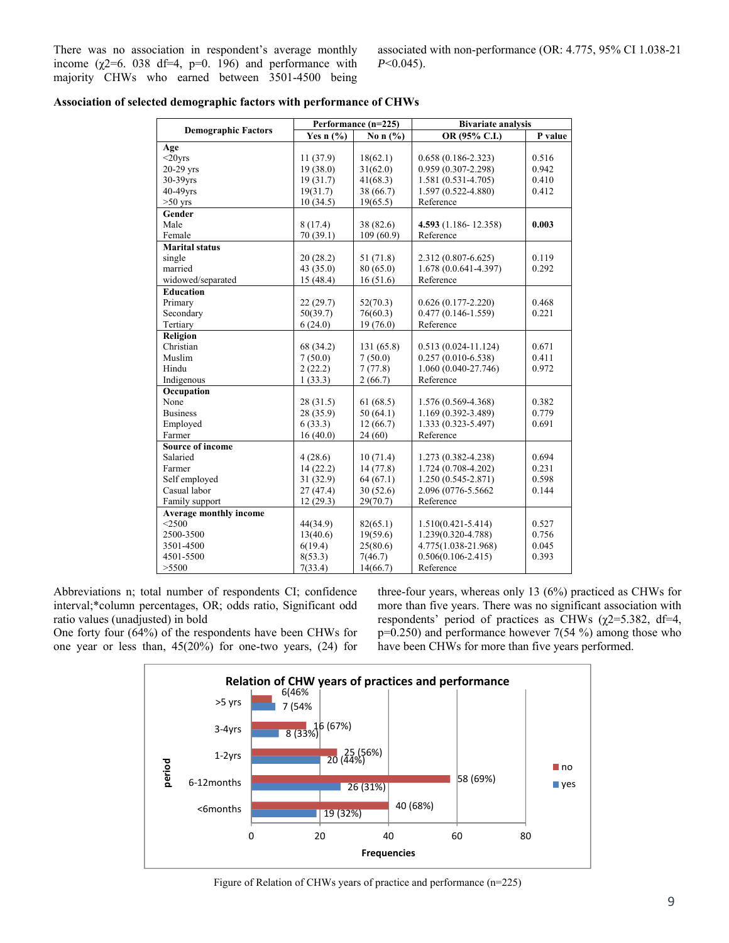There was no association in respondent's average monthly income  $(\chi$ 2=6. 038 df=4, p=0. 196) and performance with majority CHWs who earned between 3501-4500 being associated with non-performance (OR: 4.775, 95% CI 1.038-21 *P*<0.045).

|                               |             | Performance (n=225) | <b>Bivariate analysis</b> |         |  |
|-------------------------------|-------------|---------------------|---------------------------|---------|--|
| <b>Demographic Factors</b>    | Yes $n$ (%) | No n $(\% )$        | OR (95% C.I.)             | P value |  |
| Age                           |             |                     |                           |         |  |
| $<$ 20 $vrs$                  | 11(37.9)    | 18(62.1)            | $0.658(0.186 - 2.323)$    | 0.516   |  |
| $20-29$ yrs                   | 19(38.0)    | 31(62.0)            | 0.959 (0.307-2.298)       | 0.942   |  |
| 30-39yrs                      | 19(31.7)    | 41(68.3)            | $1.581(0.531 - 4.705)$    | 0.410   |  |
| 40-49yrs                      | 19(31.7)    | 38 (66.7)           | 1.597 (0.522-4.880)       | 0.412   |  |
| $>50$ yrs                     | 10(34.5)    | 19(65.5)            | Reference                 |         |  |
| Gender                        |             |                     |                           |         |  |
| Male                          | 8(17.4)     | 38(82.6)            | 4.593 (1.186-12.358)      | 0.003   |  |
| Female                        | 70 (39.1)   | 109(60.9)           | Reference                 |         |  |
| Marital status                |             |                     |                           |         |  |
| single                        | 20(28.2)    | 51 (71.8)           | 2.312 (0.807-6.625)       | 0.119   |  |
| married                       | 43(35.0)    | 80(65.0)            | $1.678(0.0.641 - 4.397)$  | 0.292   |  |
| widowed/separated             | 15(48.4)    | 16(51.6)            | Reference                 |         |  |
| <b>Education</b>              |             |                     |                           |         |  |
| Primary                       | 22(29.7)    | 52(70.3)            | $0.626(0.177 - 2.220)$    | 0.468   |  |
| Secondary                     | 50(39.7)    | 76(60.3)            | $0.477(0.146 - 1.559)$    | 0.221   |  |
| Tertiary                      | 6(24.0)     | 19(76.0)            | Reference                 |         |  |
| Religion                      |             |                     |                           |         |  |
| Christian                     | 68 (34.2)   | 131 (65.8)          | $0.513(0.024 - 11.124)$   | 0.671   |  |
| Muslim                        | 7(50.0)     | 7(50.0)             | $0.257(0.010-6.538)$      | 0.411   |  |
| Hindu                         | 2(22.2)     | 7(77.8)             | 1.060 (0.040-27.746)      | 0.972   |  |
| Indigenous                    | 1(33.3)     | 2(66.7)             | Reference                 |         |  |
| Occupation                    |             |                     |                           |         |  |
| None                          | 28(31.5)    | 61(68.5)            | 1.576 (0.569-4.368)       | 0.382   |  |
| <b>Business</b>               | 28 (35.9)   | 50(64.1)            | 1.169 (0.392-3.489)       | 0.779   |  |
| Employed                      | 6(33.3)     | 12(66.7)            | 1.333 (0.323-5.497)       | 0.691   |  |
| Farmer                        | 16(40.0)    | 24(60)              | Reference                 |         |  |
| <b>Source of income</b>       |             |                     |                           |         |  |
| Salaried                      | 4(28.6)     | 10(71.4)            | 1.273 (0.382-4.238)       | 0.694   |  |
| Farmer                        | 14(22.2)    | 14(77.8)            | $1.724(0.708-4.202)$      | 0.231   |  |
| Self employed                 | 31(32.9)    | 64(67.1)            | $1.250(0.545 - 2.871)$    | 0.598   |  |
| Casual labor                  | 27(47.4)    | 30(52.6)            | 2.096 (0776-5.5662        | 0.144   |  |
| Family support                | 12(29.3)    | 29(70.7)            | Reference                 |         |  |
| <b>Average monthly income</b> |             |                     |                           |         |  |
| $<$ 2500                      | 44(34.9)    | 82(65.1)            | $1.510(0.421 - 5.414)$    | 0.527   |  |
| 2500-3500                     | 13(40.6)    | 19(59.6)            | 1.239(0.320-4.788)        | 0.756   |  |
| 3501-4500                     | 6(19.4)     | 25(80.6)            | 4.775(1.038-21.968)       | 0.045   |  |
| 4501-5500                     | 8(53.3)     | 7(46.7)             | $0.506(0.106 - 2.415)$    | 0.393   |  |
| >5500                         | 7(33.4)     | 14(66.7)            | Reference                 |         |  |

|  |  |  |  | Association of selected demographic factors with performance of CHWs |  |
|--|--|--|--|----------------------------------------------------------------------|--|
|--|--|--|--|----------------------------------------------------------------------|--|

Abbreviations n; total number of respondents CI; confidence interval;\*column percentages, OR; odds ratio, Significant odd ratio values (unadjusted) in bold

One forty four (64%) of the respondents have been CHWs for one year or less than,  $45(20%)$  for one-two years,  $(24)$  for

three-four years, whereas only 13 (6%) practiced as CHWs for more than five years. There was no significant association with respondents' period of practices as CHWs ( $\chi$ 2=5.382, df=4,  $p=0.250$ ) and performance however 7(54 %) among those who have been CHWs for more than five years performed.



Figure of Relation of CHWs years of practice and performance (n=225)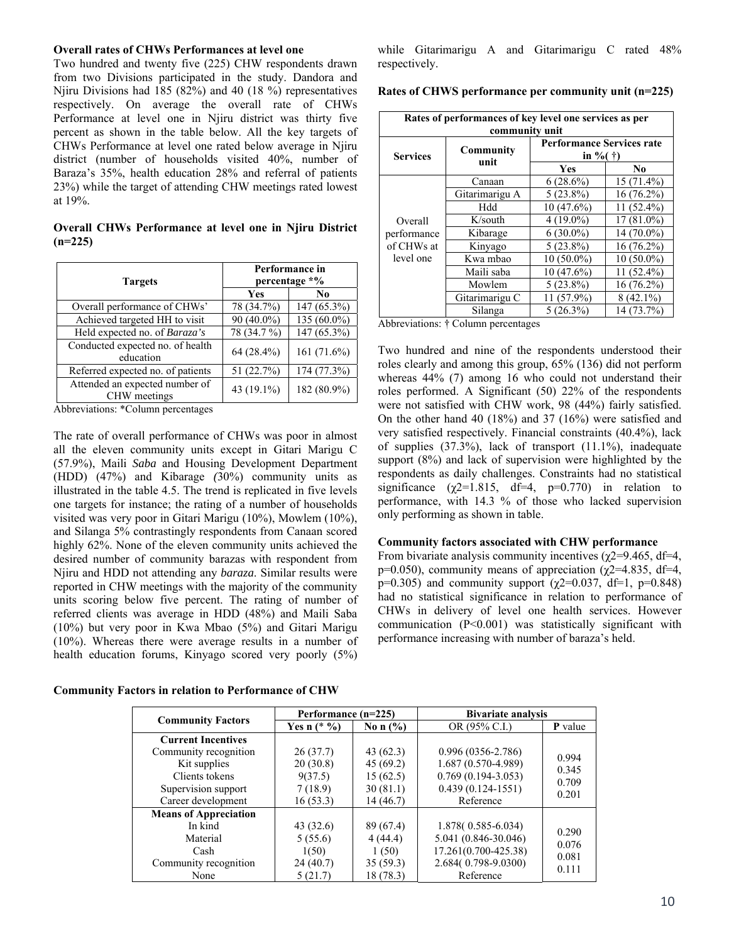#### **Overall rates of CHWs Performances at level one**

Two hundred and twenty five (225) CHW respondents drawn from two Divisions participated in the study. Dandora and Njiru Divisions had 185 (82%) and 40 (18 %) representatives respectively. On average the overall rate of CHWs Performance at level one in Njiru district was thirty five percent as shown in the table below. All the key targets of CHWs Performance at level one rated below average in Njiru district (number of households visited 40%, number of Baraza's 35%, health education 28% and referral of patients 23%) while the target of attending CHW meetings rated lowest at 19%.

**Overall CHWs Performance at level one in Njiru District (n=225)** 

| <b>Targets</b>                                 | Performance in<br>percentage *% |                |  |
|------------------------------------------------|---------------------------------|----------------|--|
|                                                | Yes                             | No.            |  |
| Overall performance of CHWs'                   | 78 (34.7%)                      | 147 (65.3%)    |  |
| Achieved targeted HH to visit                  | 90 (40.0%)                      | 135 (60.0%)    |  |
| Held expected no. of Baraza's                  | 78 (34.7 %)                     | 147 (65.3%)    |  |
| Conducted expected no. of health<br>education  | 64 (28.4%)                      | 161 $(71.6\%)$ |  |
| Referred expected no. of patients              | 51 (22.7%)                      | 174 (77.3%)    |  |
| Attended an expected number of<br>CHW meetings | 43 (19.1%)                      | 182 (80.9%)    |  |

Abbreviations: \*Column percentages

The rate of overall performance of CHWs was poor in almost all the eleven community units except in Gitari Marigu C (57.9%), Maili *Saba* and Housing Development Department (HDD) (47%) and Kibarage *(*30%) community units as illustrated in the table 4.5. The trend is replicated in five levels one targets for instance; the rating of a number of households visited was very poor in Gitari Marigu (10%), Mowlem (10%), and Silanga 5% contrastingly respondents from Canaan scored highly 62%. None of the eleven community units achieved the desired number of community barazas with respondent from Njiru and HDD not attending any *baraza*. Similar results were reported in CHW meetings with the majority of the community units scoring below five percent. The rating of number of referred clients was average in HDD (48%) and Maili Saba (10%) but very poor in Kwa Mbao (5%) and Gitari Marigu (10%). Whereas there were average results in a number of health education forums, Kinyago scored very poorly (5%)

**Community Factors in relation to Performance of CHW**

while Gitarimarigu A and Gitarimarigu C rated 48% respectively.

**Rates of CHWS performance per community unit (n=225)** 

| Rates of performances of key level one services as per<br>community unit |                |                                                       |              |  |  |
|--------------------------------------------------------------------------|----------------|-------------------------------------------------------|--------------|--|--|
| <b>Services</b>                                                          | Community      | <b>Performance Services rate</b><br>in %( $\dagger$ ) |              |  |  |
|                                                                          | unit           | Yes                                                   | No           |  |  |
|                                                                          | Canaan         | $6(28.6\%)$                                           | $15(71.4\%)$ |  |  |
|                                                                          | Gitarimarigu A | $5(23.8\%)$                                           | $16(76.2\%)$ |  |  |
|                                                                          | Hdd            | $10(47.6\%)$                                          | 11 (52.4%)   |  |  |
| Overall                                                                  | K/south        | $4(19.0\%)$                                           | $17(81.0\%)$ |  |  |
| performance<br>of CHWs at<br>level one                                   | Kibarage       | $6(30.0\%)$                                           | 14 (70.0%)   |  |  |
|                                                                          | Kinyago        | $5(23.8\%)$                                           | $16(76.2\%)$ |  |  |
|                                                                          | Kwa mbao       | $10(50.0\%)$                                          | $10(50.0\%)$ |  |  |
|                                                                          | Maili saba     | $10(47.6\%)$                                          | $11(52.4\%)$ |  |  |
|                                                                          | Mowlem         | $5(23.8\%)$                                           | 16 (76.2%)   |  |  |
|                                                                          | Gitarimarigu C | 11 (57.9%)                                            | $8(42.1\%)$  |  |  |
|                                                                          | Silanga        | $5(26.3\%)$                                           | 14 (73.7%)   |  |  |

Abbreviations: † Column percentages

Two hundred and nine of the respondents understood their roles clearly and among this group, 65% (136) did not perform whereas  $44\%$  (7) among 16 who could not understand their roles performed. A Significant (50) 22% of the respondents were not satisfied with CHW work, 98 (44%) fairly satisfied. On the other hand 40 (18%) and 37 (16%) were satisfied and very satisfied respectively. Financial constraints (40.4%), lack of supplies  $(37.3\%)$ , lack of transport  $(11.1\%)$ , inadequate support (8%) and lack of supervision were highlighted by the respondents as daily challenges. Constraints had no statistical significance ( $\gamma$ 2=1.815, df=4, p=0.770) in relation to performance, with 14.3 % of those who lacked supervision only performing as shown in table.

#### **Community factors associated with CHW performance**

From bivariate analysis community incentives ( $\gamma$ 2=9.465, df=4, p=0.050), community means of appreciation ( $\chi$ 2=4.835, df=4, p=0.305) and community support ( $χ2=0.037$ , df=1, p=0.848) had no statistical significance in relation to performance of CHWs in delivery of level one health services. However communication (P<0.001) was statistically significant with performance increasing with number of baraza's held.

|                              | Performance (n=225) |              | <b>Bivariate analysis</b> |                |
|------------------------------|---------------------|--------------|---------------------------|----------------|
| <b>Community Factors</b>     | Yes n $(*\%)$       | No n $(\% )$ | OR (95% C.I.)             | <b>P</b> value |
| <b>Current Incentives</b>    |                     |              |                           |                |
| Community recognition        | 26(37.7)            | 43 $(62.3)$  | $0.996(0356 - 2.786)$     | 0.994          |
| Kit supplies                 | 20(30.8)            | 45(69.2)     | 1.687 (0.570-4.989)       | 0.345          |
| Clients tokens               | 9(37.5)             | 15(62.5)     | $0.769(0.194-3.053)$      | 0.709          |
| Supervision support          | 7(18.9)             | 30(81.1)     | $0.439(0.124 - 1551)$     | 0.201          |
| Career development           | 16(53.3)            | 14(46.7)     | Reference                 |                |
| <b>Means of Appreciation</b> |                     |              |                           |                |
| In kind                      | 43 (32.6)           | 89 (67.4)    | 1.878(0.585-6.034)        | 0.290          |
| Material                     | 5(55.6)             | 4(44.4)      | 5.041 (0.846-30.046)      | 0.076          |
| Cash                         | 1(50)               | 1(50)        | 17.261(0.700-425.38)      | 0.081          |
| Community recognition        | 24(40.7)            | 35(59.3)     | 2.684(0.798-9.0300)       | 0.111          |
| None                         | 5(21.7)             | 18 (78.3)    | Reference                 |                |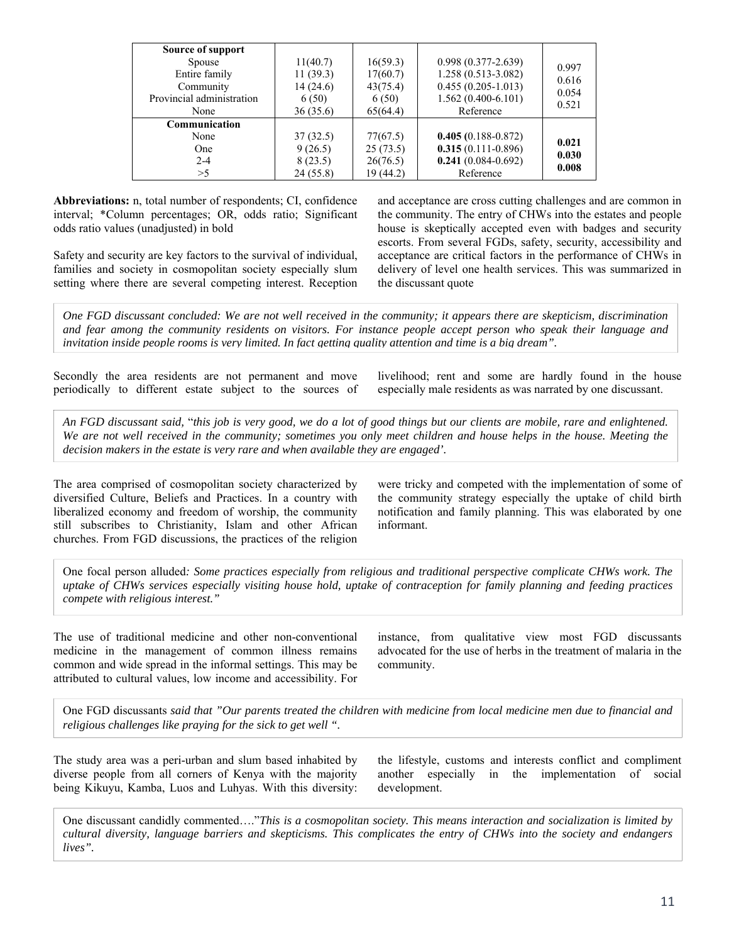| Source of support<br>Spouse<br>Entire family<br>Community<br>Provincial administration<br>None | 11(40.7)<br>11(39.3)<br>14(24.6)<br>6(50)<br>36(35.6) | 16(59.3)<br>17(60.7)<br>43(75.4)<br>6(50)<br>65(64.4) | $0.998(0.377 - 2.639)$<br>$1.258(0.513 - 3.082)$<br>$0.455(0.205-1.013)$<br>$1.562(0.400-6.101)$<br>Reference | 0.997<br>0.616<br>0.054<br>0.521 |
|------------------------------------------------------------------------------------------------|-------------------------------------------------------|-------------------------------------------------------|---------------------------------------------------------------------------------------------------------------|----------------------------------|
| Communication<br>None<br><b>One</b><br>$2 - 4$<br>>5                                           | 37(32.5)<br>9(26.5)<br>8(23.5)<br>24(55.8)            | 77(67.5)<br>25(73.5)<br>26(76.5)<br>19 (44.2)         | $0.405(0.188-0.872)$<br>$0.315(0.111-0.896)$<br>$0.241(0.084-0.692)$<br>Reference                             | 0.021<br>0.030<br>0.008          |

**Abbreviations:** n, total number of respondents; CI, confidence interval; \*Column percentages; OR, odds ratio; Significant odds ratio values (unadjusted) in bold

Safety and security are key factors to the survival of individual, families and society in cosmopolitan society especially slum setting where there are several competing interest. Reception

and acceptance are cross cutting challenges and are common in the community. The entry of CHWs into the estates and people house is skeptically accepted even with badges and security escorts. From several FGDs, safety, security, accessibility and acceptance are critical factors in the performance of CHWs in delivery of level one health services. This was summarized in the discussant quote

*One FGD discussant concluded: We are not well received in the community; it appears there are skepticism, discrimination and fear among the community residents on visitors. For instance people accept person who speak their language and invitation inside people rooms is very limited. In fact getting quality attention and time is a big dream".* 

Secondly the area residents are not permanent and move periodically to different estate subject to the sources of livelihood; rent and some are hardly found in the house especially male residents as was narrated by one discussant.

*An FGD discussant said,* "*this job is very good, we do a lot of good things but our clients are mobile, rare and enlightened.*  We are not well received in the community; sometimes you only meet children and house helps in the house. Meeting the *decision makers in the estate is very rare and when available they are engaged'.* 

The area comprised of cosmopolitan society characterized by diversified Culture, Beliefs and Practices. In a country with liberalized economy and freedom of worship, the community still subscribes to Christianity, Islam and other African churches. From FGD discussions, the practices of the religion

were tricky and competed with the implementation of some of the community strategy especially the uptake of child birth notification and family planning. This was elaborated by one informant.

One focal person alluded*: Some practices especially from religious and traditional perspective complicate CHWs work. The uptake of CHWs services especially visiting house hold, uptake of contraception for family planning and feeding practices compete with religious interest."* 

The use of traditional medicine and other non-conventional medicine in the management of common illness remains common and wide spread in the informal settings. This may be attributed to cultural values, low income and accessibility. For

instance, from qualitative view most FGD discussants advocated for the use of herbs in the treatment of malaria in the community.

One FGD discussants *said that "Our parents treated the children with medicine from local medicine men due to financial and religious challenges like praying for the sick to get well ".*

The study area was a peri-urban and slum based inhabited by diverse people from all corners of Kenya with the majority being Kikuyu, Kamba, Luos and Luhyas. With this diversity:

the lifestyle, customs and interests conflict and compliment another especially in the implementation of social development.

One discussant candidly commented…."*This is a cosmopolitan society. This means interaction and socialization is limited by cultural diversity, language barriers and skepticisms. This complicates the entry of CHWs into the society and endangers lives".*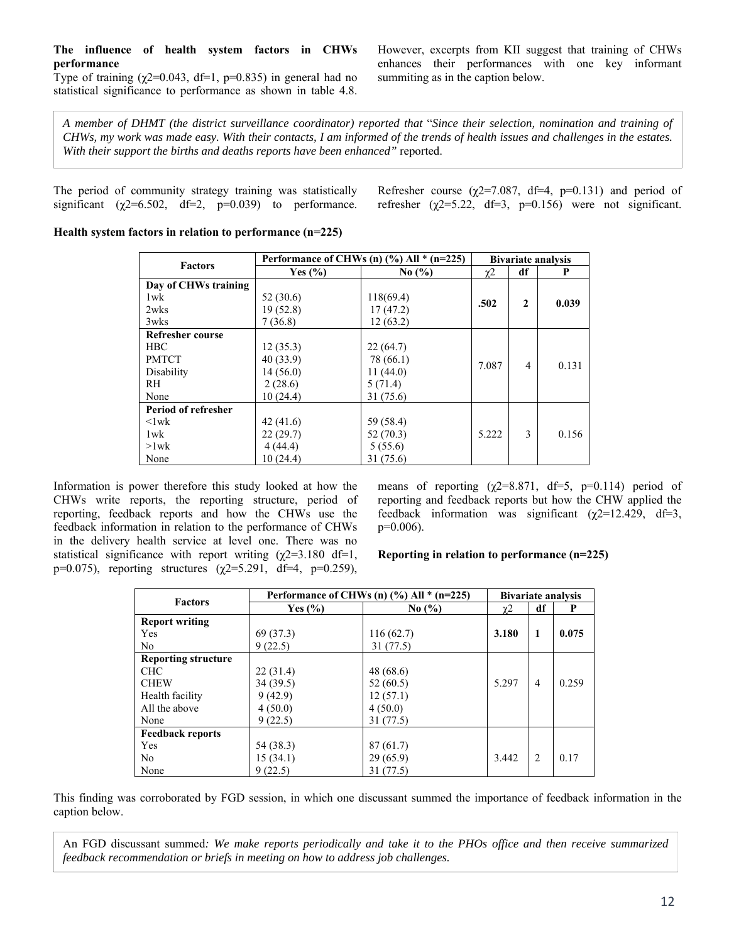### **The influence of health system factors in CHWs performance**

Type of training  $(\chi2=0.043, df=1, p=0.835)$  in general had no statistical significance to performance as shown in table 4.8.

However, excerpts from KII suggest that training of CHWs enhances their performances with one key informant summiting as in the caption below.

*A member of DHMT (the district surveillance coordinator) reported that* "*Since their selection, nomination and training of CHWs, my work was made easy. With their contacts, I am informed of the trends of health issues and challenges in the estates. With their support the births and deaths reports have been enhanced"* reported.

The period of community strategy training was statistically significant ( $\chi$ 2=6.502, df=2, p=0.039) to performance. Refresher course ( $\chi$ 2=7.087, df=4, p=0.131) and period of refresher ( $\chi$ 2=5.22, df=3, p=0.156) were not significant.

### **Health system factors in relation to performance (n=225)**

| <b>Factors</b>          | Performance of CHWs (n) $\frac{6}{6}$ All * (n=225) |                               |          | <b>Bivariate analysis</b> |       |  |
|-------------------------|-----------------------------------------------------|-------------------------------|----------|---------------------------|-------|--|
|                         | Yes $(\% )$                                         | No $\left(\frac{9}{6}\right)$ | $\chi$ 2 | df                        | P     |  |
| Day of CHWs training    |                                                     |                               |          |                           |       |  |
| $1$ w $k$               | 52(30.6)                                            | 118(69.4)                     | .502     | $\mathbf{2}$              | 0.039 |  |
| 2wks                    | 19 (52.8)                                           | 17(47.2)                      |          |                           |       |  |
| 3wks                    | 7(36.8)                                             | 12(63.2)                      |          |                           |       |  |
| <b>Refresher course</b> |                                                     |                               |          |                           |       |  |
| <b>HBC</b>              | 12(35.3)                                            | 22(64.7)                      |          |                           |       |  |
| <b>PMTCT</b>            | 40 (33.9)                                           | 78 (66.1)                     | 7.087    | 4                         | 0.131 |  |
| Disability              | 14(56.0)                                            | 11(44.0)                      |          |                           |       |  |
| RH.                     | 2(28.6)                                             | 5(71.4)                       |          |                           |       |  |
| None                    | 10(24.4)                                            | 31 (75.6)                     |          |                           |       |  |
| Period of refresher     |                                                     |                               |          |                           |       |  |
| $\langle$ lwk           | 42(41.6)                                            | 59 (58.4)                     |          |                           |       |  |
| $1$ w $k$               | 22(29.7)                                            | 52(70.3)                      | 5.222    | 3                         | 0.156 |  |
| $>1$ wk                 | 4(44.4)                                             | 5(55.6)                       |          |                           |       |  |
| None                    | 10(24.4)                                            | 31 (75.6)                     |          |                           |       |  |

Information is power therefore this study looked at how the CHWs write reports, the reporting structure, period of reporting, feedback reports and how the CHWs use the feedback information in relation to the performance of CHWs in the delivery health service at level one. There was no statistical significance with report writing  $(\chi^2=3.180 \text{ df}=1,$ p=0.075), reporting structures  $(\gamma 2=5.291, df=4, p=0.259)$ ,

means of reporting  $(\gamma 2=8.871, df=5, p=0.114)$  period of reporting and feedback reports but how the CHW applied the feedback information was significant  $(\gamma 2=12.429, df=3,$  $p=0.006$ ).

**Reporting in relation to performance (n=225)** 

| <b>Factors</b>             | Performance of CHWs (n) $(\%$ ) All * (n=225) |           |       | <b>Bivariate analysis</b>     |       |  |
|----------------------------|-----------------------------------------------|-----------|-------|-------------------------------|-------|--|
|                            | Yes $(\% )$<br>No $(\% )$                     |           | χ2    | df                            | P     |  |
| <b>Report writing</b>      |                                               |           |       |                               |       |  |
| Yes                        | 69 (37.3)                                     | 116(62.7) | 3.180 | 1                             | 0.075 |  |
| N <sub>0</sub>             | 9(22.5)                                       | 31(77.5)  |       |                               |       |  |
| <b>Reporting structure</b> |                                               |           |       |                               |       |  |
| <b>CHC</b>                 | 22(31.4)                                      | 48 (68.6) |       |                               |       |  |
| <b>CHEW</b>                | 34 (39.5)                                     | 52(60.5)  | 5.297 | 4                             | 0.259 |  |
| Health facility            | 9(42.9)                                       | 12(57.1)  |       |                               |       |  |
| All the above              | 4(50.0)                                       | 4(50.0)   |       |                               |       |  |
| None                       | 9(22.5)                                       | 31(77.5)  |       |                               |       |  |
| <b>Feedback reports</b>    |                                               |           |       |                               |       |  |
| Yes                        | 54 (38.3)                                     | 87(61.7)  |       |                               |       |  |
| N <sub>0</sub>             | 15(34.1)                                      | 29(65.9)  | 3.442 | $\mathfrak{D}_{\mathfrak{p}}$ | 0.17  |  |
| None                       | 9(22.5)                                       | 31 (77.5) |       |                               |       |  |

This finding was corroborated by FGD session, in which one discussant summed the importance of feedback information in the caption below.

An FGD discussant summed*: We make reports periodically and take it to the PHOs office and then receive summarized feedback recommendation or briefs in meeting on how to address job challenges.*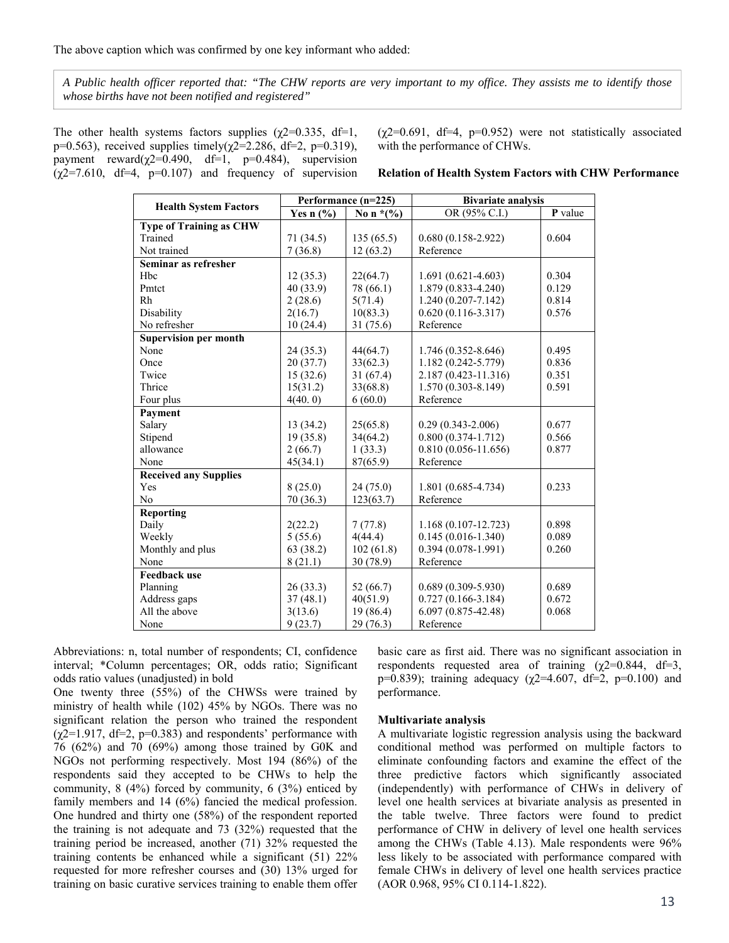*A Public health officer reported that: "The CHW reports are very important to my office. They assists me to identify those whose births have not been notified and registered"* 

The other health systems factors supplies ( $\chi$ 2=0.335, df=1, p=0.563), received supplies timely( $\chi$ 2=2.286, df=2, p=0.319), payment reward( $\chi$ 2=0.490, df=1, p=0.484), supervision  $(\gamma$ 2=7.610, df=4, p=0.107) and frequency of supervision  $(\gamma 2=0.691, df=4, p=0.952)$  were not statistically associated with the performance of CHWs.

**Relation of Health System Factors with CHW Performance** 

|                                | Performance (n=225) |              | <b>Bivariate analysis</b> |         |  |
|--------------------------------|---------------------|--------------|---------------------------|---------|--|
| <b>Health System Factors</b>   | Yes $n$ (%)         | No n $*(\%)$ | OR (95% C.I.)             | P value |  |
| <b>Type of Training as CHW</b> |                     |              |                           |         |  |
| Trained                        | 71 (34.5)           | 135(65.5)    | $0.680(0.158-2.922)$      | 0.604   |  |
| Not trained                    | 7(36.8)             | 12(63.2)     | Reference                 |         |  |
| Seminar as refresher           |                     |              |                           |         |  |
| H <sub>bc</sub>                | 12(35.3)            | 22(64.7)     | $1.691(0.621-4.603)$      | 0.304   |  |
| Pmtct                          | 40 (33.9)           | 78 (66.1)    | 1.879 (0.833-4.240)       | 0.129   |  |
| Rh                             | 2(28.6)             | 5(71.4)      | 1.240 (0.207-7.142)       | 0.814   |  |
| Disability                     | 2(16.7)             | 10(83.3)     | $0.620(0.116-3.317)$      | 0.576   |  |
| No refresher                   | 10(24.4)            | 31 (75.6)    | Reference                 |         |  |
| <b>Supervision per month</b>   |                     |              |                           |         |  |
| None                           | 24(35.3)            | 44(64.7)     | 1.746 (0.352-8.646)       | 0.495   |  |
| Once                           | 20(37.7)            | 33(62.3)     | 1.182 (0.242-5.779)       | 0.836   |  |
| Twice                          | 15(32.6)            | 31(67.4)     | 2.187 (0.423-11.316)      | 0.351   |  |
| Thrice                         | 15(31.2)            | 33(68.8)     | 1.570 (0.303-8.149)       | 0.591   |  |
| Four plus                      | 4(40.0)             | 6(60.0)      | Reference                 |         |  |
| Payment                        |                     |              |                           |         |  |
| Salary                         | 13(34.2)            | 25(65.8)     | $0.29(0.343 - 2.006)$     | 0.677   |  |
| Stipend                        | 19(35.8)            | 34(64.2)     | $0.800(0.374-1.712)$      | 0.566   |  |
| allowance                      | 2(66.7)             | 1(33.3)      | $0.810(0.056 - 11.656)$   | 0.877   |  |
| None                           | 45(34.1)            | 87(65.9)     | Reference                 |         |  |
| <b>Received any Supplies</b>   |                     |              |                           |         |  |
| Yes                            | 8(25.0)             | 24(75.0)     | 1.801 (0.685-4.734)       | 0.233   |  |
| N <sub>0</sub>                 | 70 (36.3)           | 123(63.7)    | Reference                 |         |  |
| Reporting                      |                     |              |                           |         |  |
| Daily                          | 2(22.2)             | 7(77.8)      | $1.168(0.107 - 12.723)$   | 0.898   |  |
| Weekly                         | 5(55.6)             | 4(44.4)      | $0.145(0.016 - 1.340)$    | 0.089   |  |
| Monthly and plus               | 63 (38.2)           | 102(61.8)    | $0.394(0.078-1.991)$      | 0.260   |  |
| None                           | 8(21.1)             | 30 (78.9)    | Reference                 |         |  |
| <b>Feedback use</b>            |                     |              |                           |         |  |
| Planning                       | 26(33.3)            | 52(66.7)     | $0.689(0.309 - 5.930)$    | 0.689   |  |
| Address gaps                   | 37(48.1)            | 40(51.9)     | $0.727(0.166 - 3.184)$    | 0.672   |  |
| All the above                  | 3(13.6)             | 19 (86.4)    | $6.097(0.875 - 42.48)$    | 0.068   |  |
| None                           | 9(23.7)             | 29 (76.3)    | Reference                 |         |  |

Abbreviations: n, total number of respondents; CI, confidence interval; \*Column percentages; OR, odds ratio; Significant odds ratio values (unadjusted) in bold

One twenty three (55%) of the CHWSs were trained by ministry of health while (102) 45% by NGOs. There was no significant relation the person who trained the respondent  $(\chi^2=1.917, df=2, p=0.383)$  and respondents' performance with  $76$  (62%) and  $70$  (69%) among those trained by G0K and NGOs not performing respectively. Most 194 (86%) of the respondents said they accepted to be CHWs to help the community,  $8(4\%)$  forced by community,  $6(3\%)$  enticed by family members and 14 (6%) fancied the medical profession. One hundred and thirty one (58%) of the respondent reported the training is not adequate and 73 (32%) requested that the training period be increased, another (71) 32% requested the training contents be enhanced while a significant (51) 22% requested for more refresher courses and (30) 13% urged for training on basic curative services training to enable them offer basic care as first aid. There was no significant association in respondents requested area of training  $(\gamma 2=0.844, df=3,$ p=0.839); training adequacy ( $\gamma$ 2=4.607, df=2, p=0.100) and performance.

#### **Multivariate analysis**

A multivariate logistic regression analysis using the backward conditional method was performed on multiple factors to eliminate confounding factors and examine the effect of the three predictive factors which significantly associated (independently) with performance of CHWs in delivery of level one health services at bivariate analysis as presented in the table twelve. Three factors were found to predict performance of CHW in delivery of level one health services among the CHWs (Table 4.13). Male respondents were 96% less likely to be associated with performance compared with female CHWs in delivery of level one health services practice (AOR 0.968, 95% CI 0.114-1.822).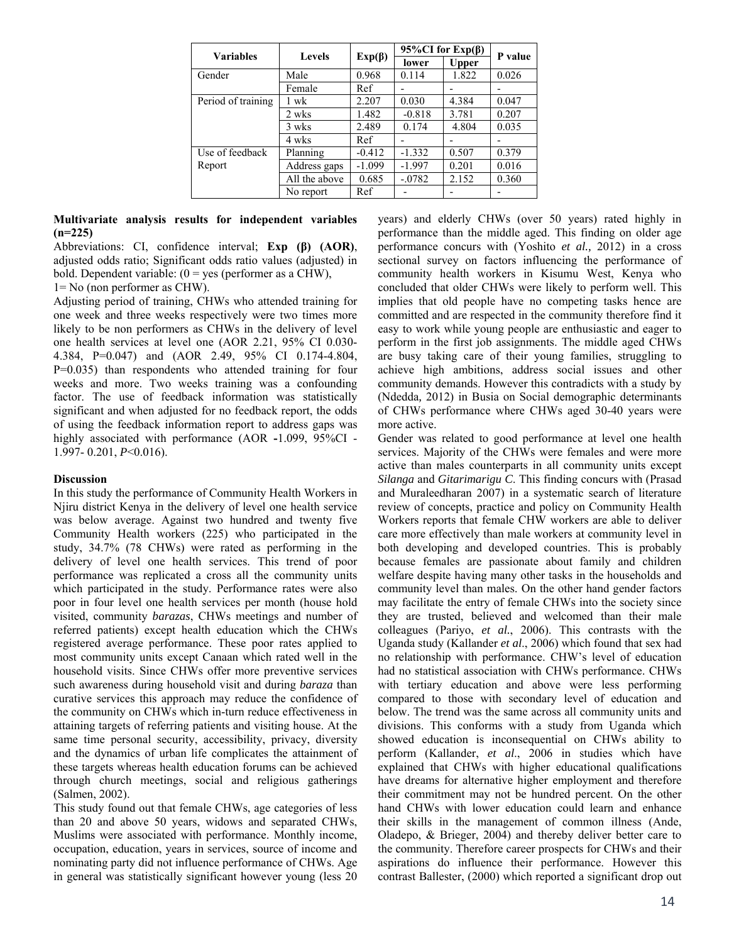| <b>Variables</b>          | <b>Levels</b> | $Exp(\beta)$ | 95%CI for $Exp(\beta)$ |       | P value |
|---------------------------|---------------|--------------|------------------------|-------|---------|
|                           |               |              | lower                  | Upper |         |
| Gender                    | Male          | 0.968        | 0.114                  | 1.822 | 0.026   |
|                           | Female        | Ref          |                        |       |         |
| Period of training        | wk            | 2.207        | 0.030                  | 4.384 | 0.047   |
|                           | 2 wks         | 1.482        | $-0.818$               | 3.781 | 0.207   |
|                           | 3 wks         | 2.489        | 0.174                  | 4.804 | 0.035   |
|                           | 4 wks         | Ref          |                        |       |         |
| Use of feedback<br>Report | Planning      | $-0.412$     | $-1.332$               | 0.507 | 0.379   |
|                           | Address gaps  | $-1.099$     | $-1.997$               | 0.201 | 0.016   |
|                           | All the above | 0.685        | $-0.0782$              | 2.152 | 0.360   |
|                           | No report     | Ref          |                        |       |         |

### **Multivariate analysis results for independent variables (n=225)**

Abbreviations: CI, confidence interval; **Exp (β) (AOR)**, adjusted odds ratio; Significant odds ratio values (adjusted) in bold. Dependent variable:  $(0 = yes)$  (performer as a CHW),

1= No (non performer as CHW).

Adjusting period of training, CHWs who attended training for one week and three weeks respectively were two times more likely to be non performers as CHWs in the delivery of level one health services at level one (AOR 2.21, 95% CI 0.030- 4.384, P=0.047) and (AOR 2.49, 95% CI 0.174-4.804, P=0.035) than respondents who attended training for four weeks and more. Two weeks training was a confounding factor. The use of feedback information was statistically significant and when adjusted for no feedback report, the odds of using the feedback information report to address gaps was highly associated with performance (AOR **-**1.099, 95%CI - 1.997- 0.201, *P*<0.016).

## **Discussion**

In this study the performance of Community Health Workers in Njiru district Kenya in the delivery of level one health service was below average. Against two hundred and twenty five Community Health workers (225) who participated in the study, 34.7% (78 CHWs) were rated as performing in the delivery of level one health services. This trend of poor performance was replicated a cross all the community units which participated in the study. Performance rates were also poor in four level one health services per month (house hold visited, community *barazas*, CHWs meetings and number of referred patients) except health education which the CHWs registered average performance. These poor rates applied to most community units except Canaan which rated well in the household visits. Since CHWs offer more preventive services such awareness during household visit and during *baraza* than curative services this approach may reduce the confidence of the community on CHWs which in-turn reduce effectiveness in attaining targets of referring patients and visiting house. At the same time personal security, accessibility, privacy, diversity and the dynamics of urban life complicates the attainment of these targets whereas health education forums can be achieved through church meetings, social and religious gatherings (Salmen, 2002).

This study found out that female CHWs, age categories of less than 20 and above 50 years, widows and separated CHWs, Muslims were associated with performance. Monthly income, occupation, education, years in services, source of income and nominating party did not influence performance of CHWs. Age in general was statistically significant however young (less 20

years) and elderly CHWs (over 50 years) rated highly in performance than the middle aged. This finding on older age performance concurs with (Yoshito *et al.,* 2012) in a cross sectional survey on factors influencing the performance of community health workers in Kisumu West, Kenya who concluded that older CHWs were likely to perform well. This implies that old people have no competing tasks hence are committed and are respected in the community therefore find it easy to work while young people are enthusiastic and eager to perform in the first job assignments. The middle aged CHWs are busy taking care of their young families, struggling to achieve high ambitions, address social issues and other community demands. However this contradicts with a study by (Ndedda*,* 2012) in Busia on Social demographic determinants of CHWs performance where CHWs aged 30-40 years were more active.

Gender was related to good performance at level one health services. Majority of the CHWs were females and were more active than males counterparts in all community units except *Silanga* and *Gitarimarigu C*. This finding concurs with (Prasad and Muraleedharan 2007) in a systematic search of literature review of concepts, practice and policy on Community Health Workers reports that female CHW workers are able to deliver care more effectively than male workers at community level in both developing and developed countries. This is probably because females are passionate about family and children welfare despite having many other tasks in the households and community level than males. On the other hand gender factors may facilitate the entry of female CHWs into the society since they are trusted, believed and welcomed than their male colleagues (Pariyo, *et al.*, 2006). This contrasts with the Uganda study (Kallander *et al*., 2006) which found that sex had no relationship with performance. CHW's level of education had no statistical association with CHWs performance. CHWs with tertiary education and above were less performing compared to those with secondary level of education and below. The trend was the same across all community units and divisions. This conforms with a study from Uganda which showed education is inconsequential on CHWs ability to perform (Kallander, *et al*., 2006 in studies which have explained that CHWs with higher educational qualifications have dreams for alternative higher employment and therefore their commitment may not be hundred percent. On the other hand CHWs with lower education could learn and enhance their skills in the management of common illness (Ande, Oladepo, & Brieger, 2004) and thereby deliver better care to the community. Therefore career prospects for CHWs and their aspirations do influence their performance. However this contrast Ballester, (2000) which reported a significant drop out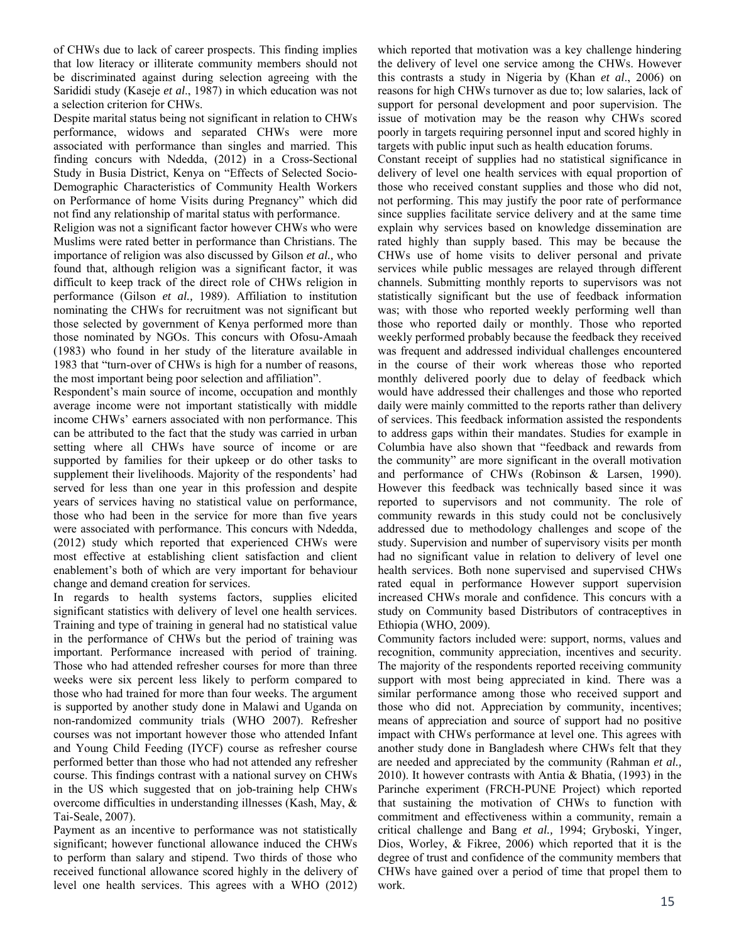of CHWs due to lack of career prospects. This finding implies that low literacy or illiterate community members should not be discriminated against during selection agreeing with the Sarididi study (Kaseje *et al*., 1987) in which education was not a selection criterion for CHWs.

Despite marital status being not significant in relation to CHWs performance, widows and separated CHWs were more associated with performance than singles and married. This finding concurs with Ndedda, (2012) in a Cross-Sectional Study in Busia District, Kenya on "Effects of Selected Socio-Demographic Characteristics of Community Health Workers on Performance of home Visits during Pregnancy" which did not find any relationship of marital status with performance.

Religion was not a significant factor however CHWs who were Muslims were rated better in performance than Christians. The importance of religion was also discussed by Gilson *et al.,* who found that, although religion was a significant factor, it was difficult to keep track of the direct role of CHWs religion in performance (Gilson *et al.,* 1989). Affiliation to institution nominating the CHWs for recruitment was not significant but those selected by government of Kenya performed more than those nominated by NGOs. This concurs with Ofosu-Amaah (1983) who found in her study of the literature available in 1983 that "turn-over of CHWs is high for a number of reasons, the most important being poor selection and affiliation".

Respondent's main source of income, occupation and monthly average income were not important statistically with middle income CHWs' earners associated with non performance. This can be attributed to the fact that the study was carried in urban setting where all CHWs have source of income or are supported by families for their upkeep or do other tasks to supplement their livelihoods. Majority of the respondents' had served for less than one year in this profession and despite years of services having no statistical value on performance, those who had been in the service for more than five years were associated with performance. This concurs with Ndedda, (2012) study which reported that experienced CHWs were most effective at establishing client satisfaction and client enablement's both of which are very important for behaviour change and demand creation for services.

In regards to health systems factors, supplies elicited significant statistics with delivery of level one health services. Training and type of training in general had no statistical value in the performance of CHWs but the period of training was important. Performance increased with period of training. Those who had attended refresher courses for more than three weeks were six percent less likely to perform compared to those who had trained for more than four weeks. The argument is supported by another study done in Malawi and Uganda on non-randomized community trials (WHO 2007). Refresher courses was not important however those who attended Infant and Young Child Feeding (IYCF) course as refresher course performed better than those who had not attended any refresher course. This findings contrast with a national survey on CHWs in the US which suggested that on job-training help CHWs overcome difficulties in understanding illnesses (Kash, May, & Tai-Seale, 2007).

Payment as an incentive to performance was not statistically significant; however functional allowance induced the CHWs to perform than salary and stipend. Two thirds of those who received functional allowance scored highly in the delivery of level one health services. This agrees with a WHO (2012) which reported that motivation was a key challenge hindering the delivery of level one service among the CHWs. However this contrasts a study in Nigeria by (Khan *et al*., 2006) on reasons for high CHWs turnover as due to; low salaries, lack of support for personal development and poor supervision. The issue of motivation may be the reason why CHWs scored poorly in targets requiring personnel input and scored highly in targets with public input such as health education forums.

Constant receipt of supplies had no statistical significance in delivery of level one health services with equal proportion of those who received constant supplies and those who did not, not performing. This may justify the poor rate of performance since supplies facilitate service delivery and at the same time explain why services based on knowledge dissemination are rated highly than supply based. This may be because the CHWs use of home visits to deliver personal and private services while public messages are relayed through different channels. Submitting monthly reports to supervisors was not statistically significant but the use of feedback information was; with those who reported weekly performing well than those who reported daily or monthly. Those who reported weekly performed probably because the feedback they received was frequent and addressed individual challenges encountered in the course of their work whereas those who reported monthly delivered poorly due to delay of feedback which would have addressed their challenges and those who reported daily were mainly committed to the reports rather than delivery of services. This feedback information assisted the respondents to address gaps within their mandates. Studies for example in Columbia have also shown that "feedback and rewards from the community" are more significant in the overall motivation and performance of CHWs (Robinson & Larsen, 1990). However this feedback was technically based since it was reported to supervisors and not community. The role of community rewards in this study could not be conclusively addressed due to methodology challenges and scope of the study. Supervision and number of supervisory visits per month had no significant value in relation to delivery of level one health services. Both none supervised and supervised CHWs rated equal in performance However support supervision increased CHWs morale and confidence. This concurs with a study on Community based Distributors of contraceptives in Ethiopia (WHO, 2009).

Community factors included were: support, norms, values and recognition, community appreciation, incentives and security. The majority of the respondents reported receiving community support with most being appreciated in kind. There was a similar performance among those who received support and those who did not. Appreciation by community, incentives; means of appreciation and source of support had no positive impact with CHWs performance at level one. This agrees with another study done in Bangladesh where CHWs felt that they are needed and appreciated by the community (Rahman *et al.,* 2010). It however contrasts with Antia & Bhatia, (1993) in the Parinche experiment (FRCH-PUNE Project) which reported that sustaining the motivation of CHWs to function with commitment and effectiveness within a community, remain a critical challenge and Bang *et al.,* 1994; Gryboski, Yinger, Dios, Worley, & Fikree, 2006) which reported that it is the degree of trust and confidence of the community members that CHWs have gained over a period of time that propel them to work.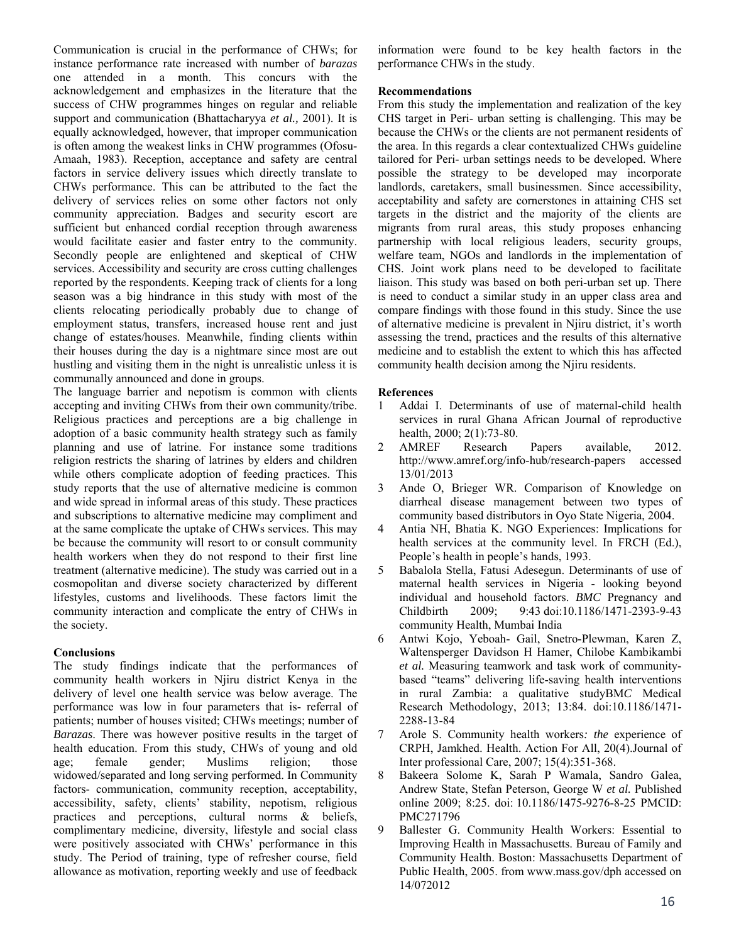Communication is crucial in the performance of CHWs; for instance performance rate increased with number of *barazas*  one attended in a month. This concurs with the acknowledgement and emphasizes in the literature that the success of CHW programmes hinges on regular and reliable support and communication (Bhattacharyya *et al.,* 2001). It is equally acknowledged, however, that improper communication is often among the weakest links in CHW programmes (Ofosu-Amaah, 1983). Reception, acceptance and safety are central factors in service delivery issues which directly translate to CHWs performance. This can be attributed to the fact the delivery of services relies on some other factors not only community appreciation. Badges and security escort are sufficient but enhanced cordial reception through awareness would facilitate easier and faster entry to the community. Secondly people are enlightened and skeptical of CHW services. Accessibility and security are cross cutting challenges reported by the respondents. Keeping track of clients for a long season was a big hindrance in this study with most of the clients relocating periodically probably due to change of employment status, transfers, increased house rent and just change of estates/houses. Meanwhile, finding clients within their houses during the day is a nightmare since most are out hustling and visiting them in the night is unrealistic unless it is communally announced and done in groups.

The language barrier and nepotism is common with clients accepting and inviting CHWs from their own community/tribe. Religious practices and perceptions are a big challenge in adoption of a basic community health strategy such as family planning and use of latrine. For instance some traditions religion restricts the sharing of latrines by elders and children while others complicate adoption of feeding practices. This study reports that the use of alternative medicine is common and wide spread in informal areas of this study. These practices and subscriptions to alternative medicine may compliment and at the same complicate the uptake of CHWs services. This may be because the community will resort to or consult community health workers when they do not respond to their first line treatment (alternative medicine). The study was carried out in a cosmopolitan and diverse society characterized by different lifestyles, customs and livelihoods. These factors limit the community interaction and complicate the entry of CHWs in the society.

## **Conclusions**

The study findings indicate that the performances of community health workers in Njiru district Kenya in the delivery of level one health service was below average. The performance was low in four parameters that is- referral of patients; number of houses visited; CHWs meetings; number of *Barazas*. There was however positive results in the target of health education. From this study, CHWs of young and old age; female gender; Muslims religion; those widowed/separated and long serving performed. In Community factors- communication, community reception, acceptability, accessibility, safety, clients' stability, nepotism, religious practices and perceptions, cultural norms & beliefs, complimentary medicine, diversity, lifestyle and social class were positively associated with CHWs' performance in this study. The Period of training, type of refresher course, field allowance as motivation, reporting weekly and use of feedback

information were found to be key health factors in the performance CHWs in the study.

### **Recommendations**

From this study the implementation and realization of the key CHS target in Peri- urban setting is challenging. This may be because the CHWs or the clients are not permanent residents of the area. In this regards a clear contextualized CHWs guideline tailored for Peri- urban settings needs to be developed. Where possible the strategy to be developed may incorporate landlords, caretakers, small businessmen. Since accessibility, acceptability and safety are cornerstones in attaining CHS set targets in the district and the majority of the clients are migrants from rural areas, this study proposes enhancing partnership with local religious leaders, security groups, welfare team, NGOs and landlords in the implementation of CHS. Joint work plans need to be developed to facilitate liaison. This study was based on both peri-urban set up. There is need to conduct a similar study in an upper class area and compare findings with those found in this study. Since the use of alternative medicine is prevalent in Njiru district, it's worth assessing the trend, practices and the results of this alternative medicine and to establish the extent to which this has affected community health decision among the Njiru residents.

## **References**

- 1 Addai I. Determinants of use of maternal-child health services in rural Ghana African Journal of reproductive health, 2000; 2(1):73-80.
- 2 AMREF Research Papers available, 2012. http://www.amref.org/info-hub/research-papers accessed 13/01/2013
- 3 Ande O, Brieger WR. Comparison of Knowledge on diarrheal disease management between two types of community based distributors in Oyo State Nigeria, 2004.
- 4 Antia NH, Bhatia K. NGO Experiences: Implications for health services at the community level. In FRCH (Ed.), People's health in people's hands, 1993.
- 5 Babalola Stella, Fatusi Adesegun. Determinants of use of maternal health services in Nigeria - looking beyond individual and household factors. *BMC* Pregnancy and Childbirth 2009; 9:43 doi:10.1186/1471-2393-9-43 community Health, Mumbai India
- 6 Antwi Kojo, Yeboah- Gail, Snetro-Plewman, Karen Z, Waltensperger Davidson H Hamer, Chilobe Kambikambi *et al.* Measuring teamwork and task work of communitybased "teams" delivering life-saving health interventions in rural Zambia: a qualitative studyBM*C* Medical Research Methodology, 2013; 13:84. doi:10.1186/1471- 2288-13-84
- 7 Arole S. Community health workers*: the* experience of CRPH, Jamkhed. Health. Action For All, 20(4).Journal of Inter professional Care, 2007; 15(4):351-368.
- 8 Bakeera Solome K, Sarah P Wamala, Sandro Galea, Andrew State, Stefan Peterson, George W *et al.* Published online 2009; 8:25. doi: 10.1186/1475-9276-8-25 PMCID: PMC271796
- 9 Ballester G. Community Health Workers: Essential to Improving Health in Massachusetts. Bureau of Family and Community Health. Boston: Massachusetts Department of Public Health, 2005. from www.mass.gov/dph accessed on 14/072012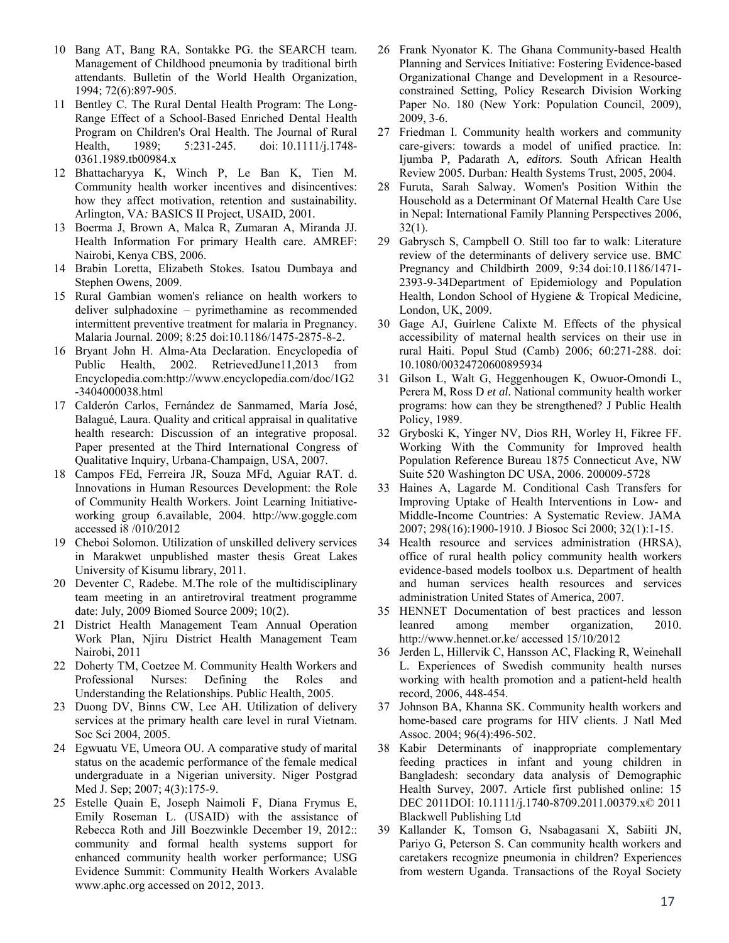- 10 Bang AT, Bang RA, Sontakke PG. the SEARCH team. Management of Childhood pneumonia by traditional birth attendants. Bulletin of the World Health Organization, 1994; 72(6):897-905.
- 11 Bentley C. The Rural Dental Health Program: The Long-Range Effect of a School-Based Enriched Dental Health Program on Children's Oral Health. The Journal of Rural Health, 1989; 5:231-245. doi: 10.1111/j.1748-0361.1989.tb00984.x
- 12 Bhattacharyya K, Winch P, Le Ban K, Tien M. Community health worker incentives and disincentives: how they affect motivation, retention and sustainability*.*  Arlington*,* VA*:* BASICS II Project, USAID*,* 2001*.*
- 13 Boerma J, Brown A, Malca R, Zumaran A, Miranda JJ. Health Information For primary Health care. AMREF: Nairobi, Kenya CBS, 2006.
- 14 Brabin Loretta, Elizabeth Stokes. Isatou Dumbaya and Stephen Owens, 2009.
- 15 Rural Gambian women's reliance on health workers to deliver sulphadoxine – pyrimethamine as recommended intermittent preventive treatment for malaria in Pregnancy. Malaria Journal. 2009; 8:25 doi:10.1186/1475-2875-8-2.
- 16 Bryant John H. Alma-Ata Declaration. Encyclopedia of Public Health, 2002. RetrievedJune11,2013 from Encyclopedia.com:http://www.encyclopedia.com/doc/1G2 -3404000038.html
- 17 Calderón Carlos, Fernández de Sanmamed, María José, Balagué, Laura. Quality and critical appraisal in qualitative health research: Discussion of an integrative proposal. Paper presented at the Third International Congress of Qualitative Inquiry, Urbana-Champaign, USA, 2007.
- 18 Campos FEd, Ferreira JR, Souza MFd, Aguiar RAT. d. Innovations in Human Resources Development: the Role of Community Health Workers. Joint Learning Initiativeworking group 6.available, 2004. http://ww.goggle.com accessed i8 /010/2012
- 19 Cheboi Solomon. Utilization of unskilled delivery services in Marakwet unpublished master thesis Great Lakes University of Kisumu library, 2011.
- 20 Deventer C, Radebe. M.The role of the multidisciplinary team meeting in an antiretroviral treatment programme date: July, 2009 Biomed Source 2009; 10(2).
- 21 District Health Management Team Annual Operation Work Plan, Njiru District Health Management Team Nairobi, 2011
- 22 Doherty TM, Coetzee M. Community Health Workers and Professional Nurses: Defining the Roles and Understanding the Relationships. Publi*c* Health, 2005.
- 23 Duong DV, Binns CW, Lee AH. Utilization of delivery services at the primary health care level in rural Vietnam. Soc Sci 2004, 2005.
- 24 Egwuatu VE, Umeora OU. A comparative study of marital status on the academic performance of the female medical undergraduate in a Nigerian university. Niger Postgrad Med J. Sep; 2007; 4(3):175-9.
- 25 Estelle Quain E, Joseph Naimoli F, Diana Frymus E, Emily Roseman L. (USAID) with the assistance of Rebecca Roth and Jill Boezwinkle December 19, 2012:: community and formal health systems support for enhanced community health worker performance; USG Evidence Summit: Community Health Workers Avalable www.aphc.org accessed on 2012, 2013.
- 26 Frank Nyonator K. The Ghana Community-based Health Planning and Services Initiative: Fostering Evidence-based Organizational Change and Development in a Resourceconstrained Setting*,* Policy Research Division Working Paper No. 180 (New York: Population Council, 2009), 2009, 3-6.
- 27 Friedman I. Community health workers and community care-givers: towards a model of unified practice*.* In: Ijumba P*,* Padarath A*, editors.* South African Health Review 2005*.* Durban*:* Health Systems Trust, 2005, 2004.
- 28 Furuta, Sarah Salway. Women's Position Within the Household as a Determinant Of Maternal Health Care Use in Nepal: International Family Planning Perspectives 2006,  $32(1)$ .
- 29 Gabrysch S, Campbell O. Still too far to walk: Literature review of the determinants of delivery service use. BMC Pregnancy and Childbirth 2009, 9:34 doi:10.1186/1471- 2393-9-34Department of Epidemiology and Population Health, London School of Hygiene & Tropical Medicine, London, UK, 2009.
- 30 Gage AJ, Guirlene Calixte M. Effects of the physical accessibility of maternal health services on their use in rural Haiti. Popul Stud (Camb) 2006; 60:271-288. doi: 10.1080/00324720600895934
- 31 Gilson L, Walt G, Heggenhougen K, Owuor-Omondi L, Perera M, Ross D *et al.* National community health worker programs: how can they be strengthened? J Public Health Policy, 1989.
- 32 Gryboski K, Yinger NV, Dios RH, Worley H, Fikree FF. Working With the Community for Improved health Population Reference Bureau 1875 Connecticut Ave, NW Suite 520 Washington DC USA, 2006. 200009-5728
- 33 Haines A, Lagarde M. Conditional Cash Transfers for Improving Uptake of Health Interventions in Low- and Middle-Income Countries: A Systematic Review. JAMA 2007; 298(16):1900-1910. J Biosoc Sci 2000; 32(1):1-15.
- 34 Health resource and services administration (HRSA), office of rural health policy community health workers evidence-based models toolbox u.s. Department of health and human services health resources and services administration United States of America, 2007.
- 35 HENNET Documentation of best practices and lesson leanred among member organization, 2010. http://www.hennet.or.ke/ accessed 15/10/2012
- 36 Jerden L, Hillervik C, Hansson AC, Flacking R, Weinehall L. Experiences of Swedish community health nurses working with health promotion and a patient-held health record, 2006, 448-454.
- 37 Johnson BA, Khanna SK. Community health workers and home-based care programs for HIV clients. J Natl Med Assoc. 2004; 96(4):496-502.
- 38 Kabir Determinants of inappropriate complementary feeding practices in infant and young children in Bangladesh: secondary data analysis of Demographic Health Survey, 2007. Article first published online: 15 DEC 2011DOI: 10.1111/j.1740-8709.2011.00379.x© 2011 Blackwell Publishing Ltd
- 39 Kallander K, Tomson G, Nsabagasani X, Sabiiti JN, Pariyo G, Peterson S. Can community health workers and caretakers recognize pneumonia in children? Experiences from western Uganda. Transactions of the Royal Society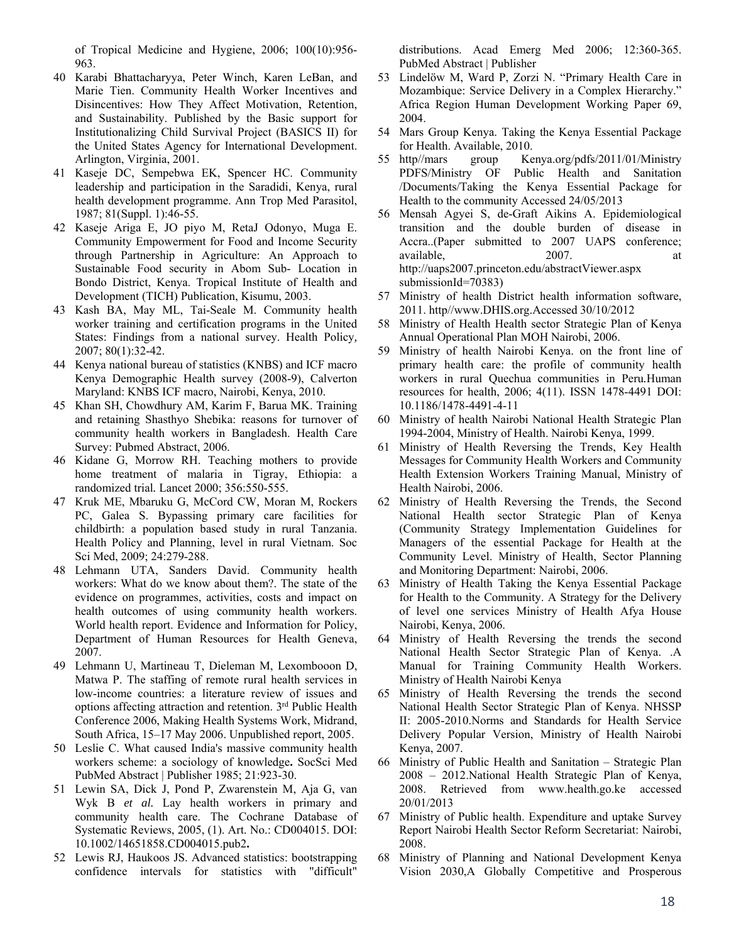of Tropical Medicine and Hygiene, 2006; 100(10):956- 963.

- 40 Karabi Bhattacharyya, Peter Winch, Karen LeBan, and Marie Tien. Community Health Worker Incentives and Disincentives: How They Affect Motivation, Retention, and Sustainability. Published by the Basic support for Institutionalizing Child Survival Project (BASICS II) for the United States Agency for International Development. Arlington, Virginia, 2001.
- 41 Kaseje DC, Sempebwa EK, Spencer HC. Community leadership and participation in the Saradidi, Kenya, rural health development programme. Ann Trop Med Parasitol, 1987; 81(Suppl. 1):46-55.
- 42 Kaseje Ariga E, JO piyo M, RetaJ Odonyo, Muga E. Community Empowerment for Food and Income Security through Partnership in Agriculture: An Approach to Sustainable Food security in Abom Sub- Location in Bondo District, Kenya. Tropical Institute of Health and Development (TICH) Publication, Kisumu, 2003.
- 43 Kash BA, May ML, Tai-Seale M. Community health worker training and certification programs in the United States: Findings from a national survey. Health Policy*,*  2007; 80(1):32-42.
- 44 Kenya national bureau of statistics (KNBS) and ICF macro Kenya Demographic Health survey (2008-9), Calverton Maryland: KNBS ICF macro, Nairobi, Kenya, 2010.
- 45 Khan SH, Chowdhury AM, Karim F, Barua MK. Training and retaining Shasthyo Shebika: reasons for turnover of community health workers in Bangladesh. Health Care Survey: Pubmed Abstract, 2006.
- 46 Kidane G, Morrow RH. Teaching mothers to provide home treatment of malaria in Tigray, Ethiopia: a randomized trial*.* Lancet 2000; 356:550-555.
- 47 Kruk ME, Mbaruku G, McCord CW, Moran M, Rockers PC, Galea S. Bypassing primary care facilities for childbirth: a population based study in rural Tanzania. Health Policy and Planning, level in rural Vietnam. Soc Sci Med, 2009; 24:279-288.
- 48 Lehmann UTA, Sanders David. Community health workers: What do we know about them?. The state of the evidence on programmes, activities, costs and impact on health outcomes of using community health workers. World health report. Evidence and Information for Policy, Department of Human Resources for Health Geneva, 2007.
- 49 Lehmann U, Martineau T, Dieleman M, Lexombooon D, Matwa P. The staffing of remote rural health services in low-income countries: a literature review of issues and options affecting attraction and retention. 3rd Public Health Conference 2006, Making Health Systems Work, Midrand, South Africa, 15–17 May 2006. Unpublished report, 2005.
- 50 Leslie C. What caused India's massive community health workers scheme: a sociology of knowledge**.** SocSci Med PubMed Abstract | Publisher 1985; 21:923-30.
- 51 Lewin SA, Dick J, Pond P, Zwarenstein M, Aja G, van Wyk B *et al.* Lay health workers in primary and community health care. The Cochrane Database of Systematic Reviews, 2005, (1). Art. No.: CD004015. DOI: 10.1002/14651858.CD004015.pub2**.**
- 52 Lewis RJ, Haukoos JS. Advanced statistics: bootstrapping confidence intervals for statistics with "difficult"

distributions. Acad Emerg Med 2006; 12:360-365. PubMed Abstract | Publisher

- 53 Lindelöw M, Ward P, Zorzi N. "Primary Health Care in Mozambique: Service Delivery in a Complex Hierarchy." Africa Region Human Development Working Paper 69, 2004.
- 54 Mars Group Kenya. Taking the Kenya Essential Package for Health. Available, 2010.
- 55 http//mars group Kenya.org/pdfs/2011/01/Ministry PDFS/Ministry OF Public Health and Sanitation /Documents/Taking the Kenya Essential Package for Health to the community Accessed 24/05/2013
- 56 Mensah Agyei S, de-Graft Aikins A. Epidemiological transition and the double burden of disease in Accra..(Paper submitted to 2007 UAPS conference; available, 2007. at http://uaps2007.princeton.edu/abstractViewer.aspx submissionId=70383)
- 57 Ministry of health District health information software, 2011. http//www.DHIS.org.Accessed 30/10/2012
- 58 Ministry of Health Health sector Strategic Plan of Kenya Annual Operational Plan MOH Nairobi, 2006.
- 59 Ministry of health Nairobi Kenya. on the front line of primary health care: the profile of community health workers in rural Quechua communities in Peru*.*Human resources for health, 2006; 4(11). ISSN 1478-4491 DOI: 10.1186/1478-4491-4-11
- 60 Ministry of health Nairobi National Health Strategic Plan 1994-2004, Ministry of Health. Nairobi Kenya, 1999.
- 61 Ministry of Health Reversing the Trends, Key Health Messages for Community Health Workers and Community Health Extension Workers Training Manual, Ministry of Health Nairobi, 2006.
- 62 Ministry of Health Reversing the Trends, the Second National Health sector Strategic Plan of Kenya (Community Strategy Implementation Guidelines for Managers of the essential Package for Health at the Community Level. Ministry of Health, Sector Planning and Monitoring Department: Nairobi, 2006.
- 63 Ministry of Health Taking the Kenya Essential Package for Health to the Community. A Strategy for the Delivery of level one services Ministry of Health Afya House Nairobi, Kenya, 2006.
- 64 Ministry of Health Reversing the trends the second National Health Sector Strategic Plan of Kenya. .A Manual for Training Community Health Workers. Ministry of Health Nairobi Kenya
- 65 Ministry of Health Reversing the trends the second National Health Sector Strategic Plan of Kenya. NHSSP II: 2005-2010.Norms and Standards for Health Service Delivery Popular Version, Ministry of Health Nairobi Kenya, 2007.
- 66 Ministry of Public Health and Sanitation Strategic Plan 2008 – 2012.National Health Strategic Plan of Kenya, 2008. Retrieved from www.health.go.ke accessed 20/01/2013
- 67 Ministry of Public health. Expenditure and uptake Survey Report Nairobi Health Sector Reform Secretariat: Nairobi, 2008.
- 68 Ministry of Planning and National Development Kenya Vision 2030,A Globally Competitive and Prosperous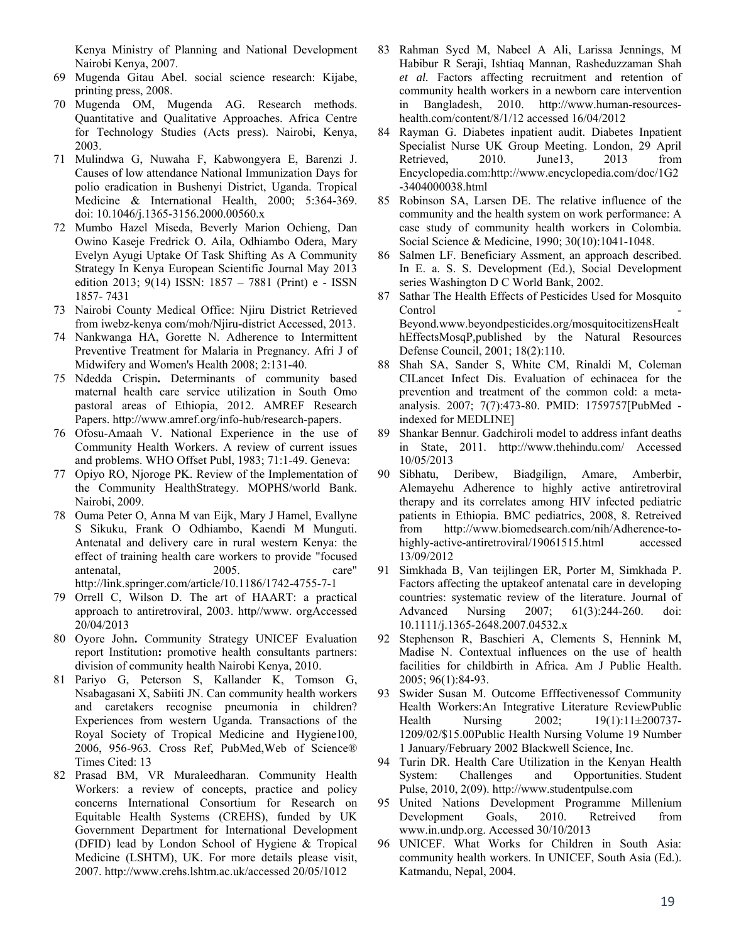Kenya Ministry of Planning and National Development Nairobi Kenya, 2007.

- 69 Mugenda Gitau Abel. social science research: Kijabe, printing press, 2008.
- 70 Mugenda OM, Mugenda AG. Research methods. Quantitative and Qualitative Approaches. Africa Centre for Technology Studies (Acts press). Nairobi, Kenya, 2003.
- 71 Mulindwa G, Nuwaha F, Kabwongyera E, Barenzi J. Causes of low attendance National Immunization Days for polio eradication in Bushenyi District, Uganda. Tropical Medicine & International Health, 2000; 5:364-369. doi: 10.1046/j.1365-3156.2000.00560.x
- 72 Mumbo Hazel Miseda, Beverly Marion Ochieng, Dan Owino Kaseje Fredrick O. Aila, Odhiambo Odera, Mary Evelyn Ayugi Uptake Of Task Shifting As A Community Strategy In Kenya European Scientific Journal May 2013 edition 2013; 9(14) ISSN: 1857 – 7881 (Print) e - ISSN 1857- 7431
- 73 Nairobi County Medical Office: Njiru District Retrieved from iwebz-kenya com/moh/Njiru-district Accessed, 2013.
- 74 Nankwanga HA, Gorette N. Adherence to Intermittent Preventive Treatment for Malaria in Pregnancy. Afri J of Midwifery and Women's Health 2008; 2:131-40.
- 75 Ndedda Crispin**.** Determinants of community based maternal health care service utilization in South Omo pastoral areas of Ethiopia, 2012. AMREF Research Papers. http://www.amref.org/info-hub/research-papers.
- 76 Ofosu-Amaah V. National Experience in the use of Community Health Workers. A review of current issues and problems. WHO Offset Publ, 1983; 71:1-49. Geneva:
- 77 Opiyo RO, Njoroge PK. Review of the Implementation of the Community HealthStrategy. MOPHS/world Bank. Nairobi, 2009.
- 78 Ouma Peter O, Anna M van Eijk, Mary J Hamel, Evallyne S Sikuku, Frank O Odhiambo, Kaendi M Munguti. Antenatal and delivery care in rural western Kenya: the effect of training health care workers to provide "focused antenatal, 2005. care" http://link.springer.com/article/10.1186/1742-4755-7-1
- 79 Orrell C, Wilson D. The art of HAART: a practical approach to antiretroviral, 2003. http//www. orgAccessed 20/04/2013
- 80 Oyore John**.** Community Strategy UNICEF Evaluation report Institution**:** promotive health consultants partners: division of community health Nairobi Kenya, 2010.
- 81 Pariyo G, Peterson S, Kallander K, Tomson G, Nsabagasani X, Sabiiti JN. Can community health workers and caretakers recognise pneumonia in children? Experiences from western Uganda*.* Transactions of the Royal Society of Tropical Medicine and Hygiene100*,*  2006, 956-963*.* Cross Ref, PubMed,Web of Science® Times Cited: 13
- 82 Prasad BM, VR Muraleedharan. Community Health Workers: a review of concepts, practice and policy concerns International Consortium for Research on Equitable Health Systems (CREHS), funded by UK Government Department for International Development (DFID) lead by London School of Hygiene & Tropical Medicine (LSHTM), UK. For more details please visit, 2007. http://www.crehs.lshtm.ac.uk/accessed 20/05/1012
- 83 Rahman Syed M, Nabeel A Ali, Larissa Jennings, M Habibur R Seraji, Ishtiaq Mannan, Rasheduzzaman Shah *et al.* Factors affecting recruitment and retention of community health workers in a newborn care intervention in Bangladesh, 2010. http://www.human-resourceshealth.com/content/8/1/12 accessed 16/04/2012
- 84 Rayman G. Diabetes inpatient audit. Diabetes Inpatient Specialist Nurse UK Group Meeting. London, 29 April Retrieved. 2010. June13. 2013 from Encyclopedia.com:http://www.encyclopedia.com/doc/1G2 -3404000038.html
- 85 Robinson SA, Larsen DE. The relative influence of the community and the health system on work performance: A case study of community health workers in Colombia. Social Science & Medicine, 1990; 30(10):1041-1048.
- 86 Salmen LF. Beneficiary Assment, an approach described. In E. a. S. S. Development (Ed.), Social Development series Washington D C World Bank, 2002.
- 87 Sathar The Health Effects of Pesticides Used for Mosquito Control Beyond*.*www.beyondpesticides.org/mosquitocitizensHealt hEffectsMosqP*,*published by the Natural Resources Defense Council, 2001; 18(2):110.
- 88 Shah SA, Sander S, White CM, Rinaldi M, Coleman CILancet Infect Dis. Evaluation of echinacea for the prevention and treatment of the common cold: a metaanalysis. 2007; 7(7):473-80. PMID: 1759757[PubMed indexed for MEDLINE]
- 89 Shankar Bennur. Gadchiroli model to address infant deaths in State, 2011. http://www.thehindu.com/ Accessed 10/05/2013
- 90 Sibhatu, Deribew, Biadgilign, Amare, Amberbir, Alemayehu Adherence to highly active antiretroviral therapy and its correlates among HIV infected pediatric patients in Ethiopia. BMC pediatrics, 2008, 8. Retreived from http://www.biomedsearch.com/nih/Adherence-tohighly-active-antiretroviral/19061515.html accessed 13/09/2012
- 91 Simkhada B, Van teijlingen ER, Porter M, Simkhada P. Factors affecting the uptakeof antenatal care in developing countries: systematic review of the literature. Journal of Advanced Nursing 2007; 61(3):244-260. doi: 10.1111/j.1365-2648.2007.04532.x
- 92 Stephenson R, Baschieri A, Clements S, Hennink M, Madise N. Contextual influences on the use of health facilities for childbirth in Africa. Am J Public Health. 2005; 96(1):84-93.
- 93 Swider Susan M. Outcome Efffectivenessof Community Health Workers:An Integrative Literature ReviewPublic Health Nursing 2002; 19(1):11±200737-1209/02/\$15.00Public Health Nursing Volume 19 Number 1 January/February 2002 Blackwell Science, Inc.
- 94 Turin DR. Health Care Utilization in the Kenyan Health System: Challenges and Opportunities. Student Pulse, 2010, 2(09). http://www.studentpulse.com
- 95 United Nations Development Programme Millenium Development Goals, 2010. Retreived from www.in.undp.org. Accessed 30/10/2013
- 96 UNICEF. What Works for Children in South Asia: community health workers. In UNICEF, South Asia (Ed.). Katmandu, Nepal, 2004.